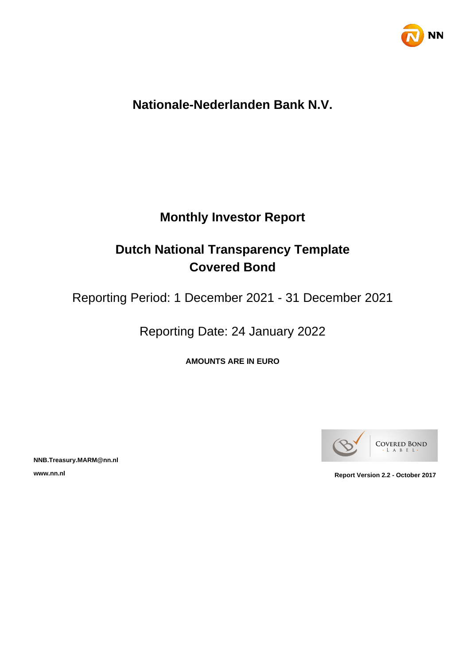

# **Nationale-Nederlanden Bank N.V.**

# **Monthly Investor Report**

# **Dutch National Transparency Template Covered Bond**

Reporting Period: 1 December 2021 - 31 December 2021

Reporting Date: 24 January 2022

**AMOUNTS ARE IN EURO**



**NNB.Treasury.MARM@nn.nl**

**www.nn.nl Report Version 2.2 - October 2017**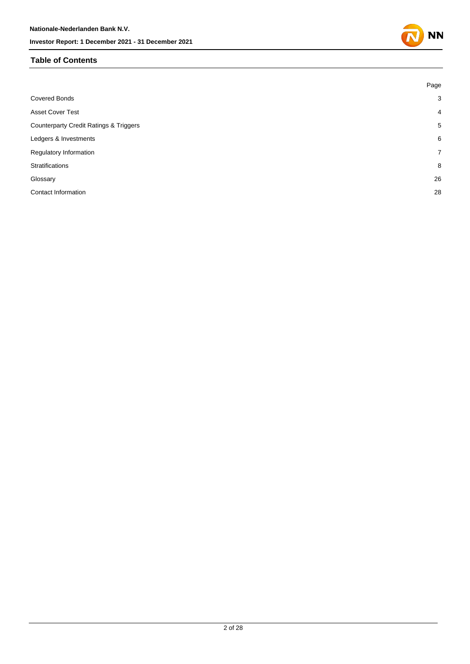### **Table of Contents**

|                                                   | Page           |
|---------------------------------------------------|----------------|
| <b>Covered Bonds</b>                              | 3              |
| <b>Asset Cover Test</b>                           | $\overline{4}$ |
| <b>Counterparty Credit Ratings &amp; Triggers</b> | 5              |
| Ledgers & Investments                             | 6              |
| Regulatory Information                            | $7^{\circ}$    |
| Stratifications                                   | 8              |
| Glossary                                          | 26             |
| <b>Contact Information</b>                        | 28             |
|                                                   |                |

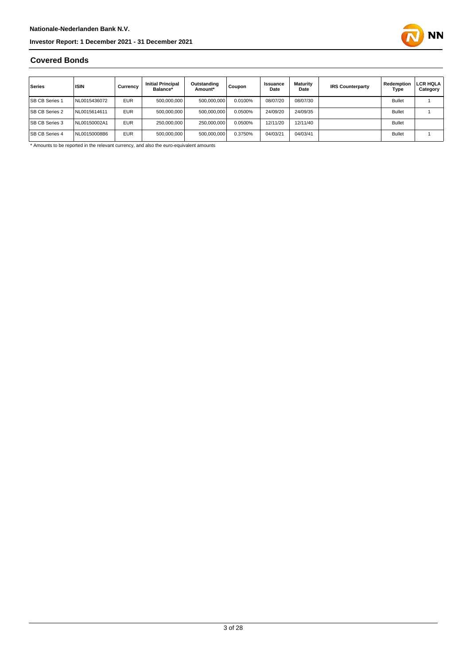

### **Covered Bonds**

| Series                | <b>ISIN</b>  | Currency   | <b>Initial Principal</b><br>Balance* | Outstanding<br>Amount* | Coupon  | Issuance<br>Date | <b>Maturity</b><br>Date | <b>IRS Counterparty</b> | Redemption<br>Type | LCR HQLA<br>Category |
|-----------------------|--------------|------------|--------------------------------------|------------------------|---------|------------------|-------------------------|-------------------------|--------------------|----------------------|
| <b>SB CB Series 1</b> | NL0015436072 | <b>EUR</b> | 500.000.000                          | 500,000,000            | 0.0100% | 08/07/20         | 08/07/30                |                         | <b>Bullet</b>      |                      |
| <b>SB CB Series 2</b> | NL0015614611 | <b>EUR</b> | 500.000.000                          | 500.000.000            | 0.0500% | 24/09/20         | 24/09/35                |                         | <b>Bullet</b>      |                      |
| <b>SB CB Series 3</b> | NL00150002A1 | <b>EUR</b> | 250.000.000                          | 250,000,000            | 0.0500% | 12/11/20         | 12/11/40                |                         | <b>Bullet</b>      |                      |
| <b>SB CB Series 4</b> | NL00150008B6 | <b>EUR</b> | 500.000.000                          | 500,000,000            | 0.3750% | 04/03/21         | 04/03/41                |                         | <b>Bullet</b>      |                      |

\* Amounts to be reported in the relevant currency, and also the euro-equivalent amounts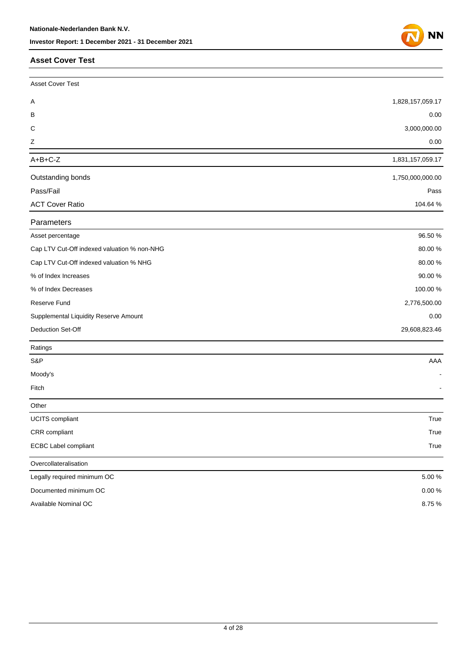#### **Asset Cover Test**

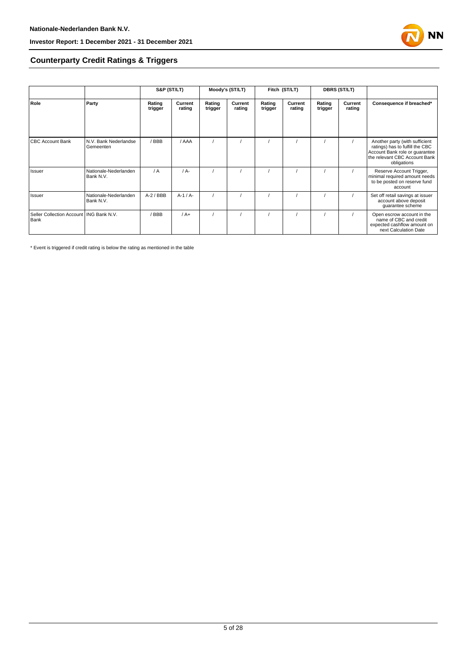

### **Counterparty Credit Ratings & Triggers**

|                                                   |                                    | S&P (ST/LT)       |                   |                   | Moody's (ST/LT)   |                   | Fitch (ST/LT)     |                   | <b>DBRS (ST/LT)</b> |                                                                                                                                                     |  |
|---------------------------------------------------|------------------------------------|-------------------|-------------------|-------------------|-------------------|-------------------|-------------------|-------------------|---------------------|-----------------------------------------------------------------------------------------------------------------------------------------------------|--|
| Role                                              | Party                              | Rating<br>trigger | Current<br>rating | Rating<br>trigger | Current<br>rating | Rating<br>trigger | Current<br>rating | Rating<br>trigger | Current<br>rating   | Consequence if breached*                                                                                                                            |  |
| <b>CBC Account Bank</b>                           | N.V. Bank Nederlandse<br>Gemeenten | /BBB              | / AAA             |                   |                   |                   |                   |                   |                     | Another party (with sufficient<br>ratings) has to fulfill the CBC<br>Account Bank role or guarantee<br>the relevant CBC Account Bank<br>obligations |  |
| Issuer                                            | Nationale-Nederlanden<br>Bank N.V. | $\sqrt{A}$        | $/A$ -            |                   |                   |                   |                   |                   |                     | Reserve Account Trigger,<br>minimal required amount needs<br>to be posted on reserve fund<br>account                                                |  |
| Issuer                                            | Nationale-Nederlanden<br>Bank N.V. | $A-2$ / BBB       | $A-1/A-$          |                   |                   |                   |                   |                   |                     | Set off retail savings at issuer<br>account above deposit<br>guarantee scheme                                                                       |  |
| Seller Collection Account   ING Bank N.V.<br>Bank |                                    | /BBB              | $/A+$             |                   |                   |                   |                   |                   |                     | Open escrow account in the<br>name of CBC and credit<br>expected cashflow amount on<br>next Calculation Date                                        |  |

\* Event is triggered if credit rating is below the rating as mentioned in the table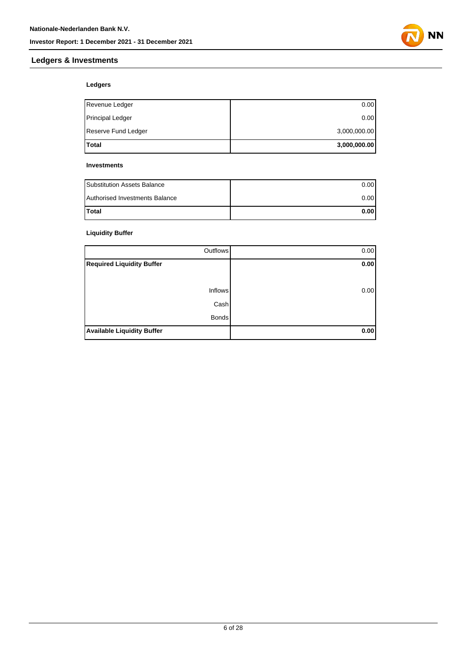

### **Ledgers & Investments**

### **Ledgers**

| Total               | 3,000,000.00 |
|---------------------|--------------|
| Reserve Fund Ledger | 3,000,000.00 |
| Principal Ledger    | 0.00         |
| Revenue Ledger      | 0.00         |

#### **Investments**

| <b>Substitution Assets Balance</b> | 0.001 |
|------------------------------------|-------|
| Authorised Investments Balance     | 0.001 |
| <b>Total</b>                       | 0.001 |

### **Liquidity Buffer**

| Outflows                          | 0.00 |
|-----------------------------------|------|
| <b>Required Liquidity Buffer</b>  | 0.00 |
|                                   |      |
| <b>Inflows</b>                    | 0.00 |
| Cash                              |      |
| <b>Bonds</b>                      |      |
| <b>Available Liquidity Buffer</b> | 0.00 |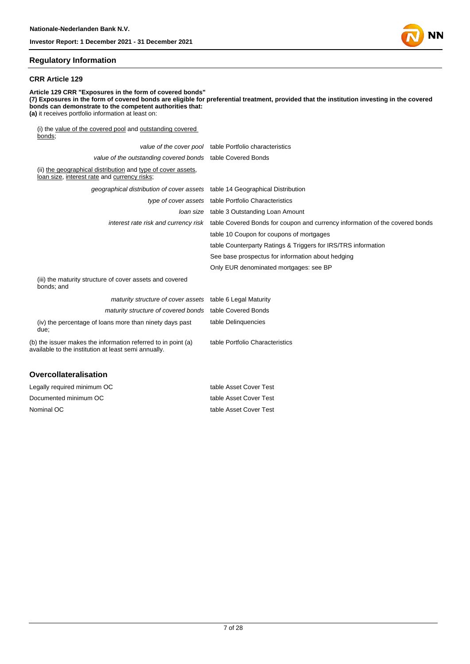

#### **Regulatory Information**

#### **CRR Article 129**

**Article 129 CRR "Exposures in the form of covered bonds" (7) Exposures in the form of covered bonds are eligible for preferential treatment, provided that the institution investing in the covered bonds can demonstrate to the competent authorities that: (a)** it receives portfolio information at least on: (i) the value of the covered pool and outstanding covered bonds; value of the cover pool table Portfolio characteristics value of the outstanding covered bonds table Covered Bonds (ii) the geographical distribution and type of cover assets, loan size, interest rate and currency risks; geographical distribution of cover assets table 14 Geographical Distribution type of cover assets table Portfolio Characteristics loan size table 3 Outstanding Loan Amount interest rate risk and currency risk table Covered Bonds for coupon and currency information of the covered bonds table 10 Coupon for coupons of mortgages table Counterparty Ratings & Triggers for IRS/TRS information See base prospectus for information about hedging Only EUR denominated mortgages: see BP (iii) the maturity structure of cover assets and covered bonds; and maturity structure of cover assets table 6 Legal Maturity maturity structure of covered bonds table Covered Bonds (iv) the percentage of loans more than ninety days past table Delinquencies

due; (b) the issuer makes the information referred to in point (a) available to the institution at least semi annually. table Portfolio Characteristics

#### **Overcollateralisation**

| Legally required minimum OC | table Asset Cover Test |
|-----------------------------|------------------------|
| Documented minimum OC       | table Asset Cover Test |
| Nominal OC                  | table Asset Cover Test |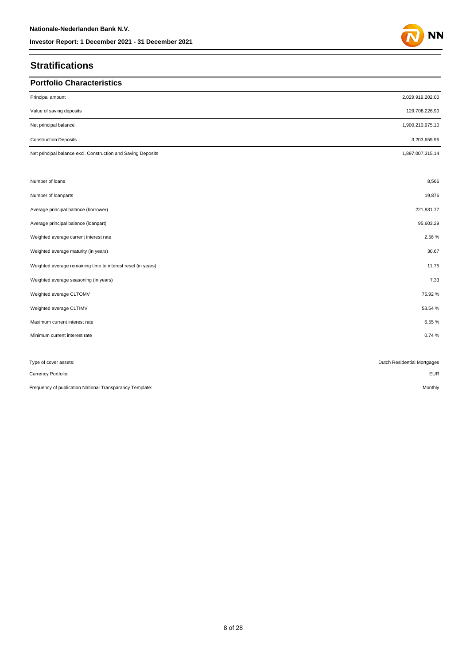### **Stratifications**

| <b>Portfolio Characteristics</b>                             |                             |
|--------------------------------------------------------------|-----------------------------|
|                                                              |                             |
| Principal amount                                             | 2,029,919,202.00            |
| Value of saving deposits                                     | 129,708,226.90              |
| Net principal balance                                        | 1,900,210,975.10            |
| <b>Construction Deposits</b>                                 | 3,203,659.96                |
| Net principal balance excl. Construction and Saving Deposits | 1,897,007,315.14            |
|                                                              |                             |
| Number of loans                                              | 8,566                       |
| Number of loanparts                                          | 19,876                      |
| Average principal balance (borrower)                         | 221,831.77                  |
| Average principal balance (loanpart)                         | 95,603.29                   |
| Weighted average current interest rate                       | 2.56%                       |
| Weighted average maturity (in years)                         | 30.67                       |
| Weighted average remaining time to interest reset (in years) | 11.75                       |
| Weighted average seasoning (in years)                        | 7.33                        |
| Weighted average CLTOMV                                      | 75.92%                      |
| Weighted average CLTIMV                                      | 53.54 %                     |
| Maximum current interest rate                                | 6.55%                       |
| Minimum current interest rate                                | 0.74%                       |
|                                                              |                             |
| Type of cover assets:                                        | Dutch Residential Mortgages |
| Currency Portfolio:                                          | <b>EUR</b>                  |
| Frequency of publication National Transparancy Template:     | Monthly                     |

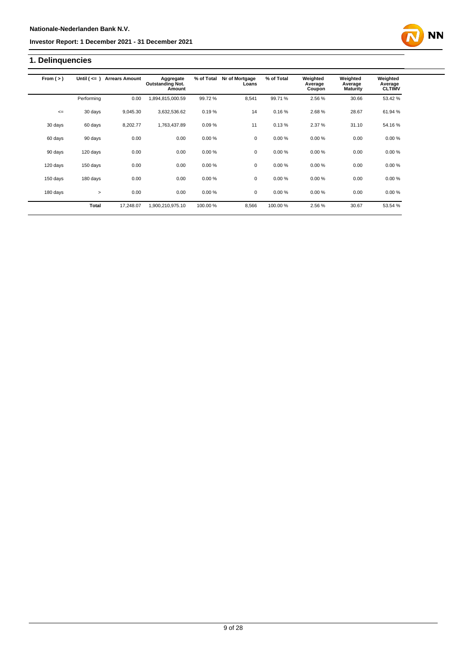# **1. Delinquencies**

| From $(>)$ | Until $($ <= $)$ | <b>Arrears Amount</b> | Aggregate<br><b>Outstanding Not.</b><br>Amount | % of Total | Nr of Mortgage<br>Loans | % of Total | Weighted<br>Average<br>Coupon | Weighted<br>Average<br><b>Maturity</b> | Weighted<br>Average<br><b>CLTIMV</b> |
|------------|------------------|-----------------------|------------------------------------------------|------------|-------------------------|------------|-------------------------------|----------------------------------------|--------------------------------------|
|            | Performing       | 0.00                  | ,894,815,000.59                                | 99.72%     | 8.541                   | 99.71 %    | 2.56 %                        | 30.66                                  | 53.42 %                              |
| $\leq$     | 30 days          | 9.045.30              | 3,632,536.62                                   | 0.19%      | 14                      | 0.16%      | 2.68%                         | 28.67                                  | 61.94 %                              |
| 30 days    | 60 days          | 8,202.77              | 1,763,437.89                                   | 0.09%      | 11                      | 0.13%      | 2.37 %                        | 31.10                                  | 54.16%                               |
| 60 days    | 90 days          | 0.00                  | 0.00                                           | 0.00%      | 0                       | 0.00%      | 0.00%                         | 0.00                                   | 0.00%                                |
| 90 days    | 120 days         | 0.00                  | 0.00                                           | 0.00%      | 0                       | 0.00%      | 0.00%                         | 0.00                                   | 0.00%                                |
| 120 days   | 150 days         | 0.00                  | 0.00                                           | 0.00%      | 0                       | 0.00%      | 0.00%                         | 0.00                                   | 0.00%                                |
| 150 days   | 180 days         | 0.00                  | 0.00                                           | 0.00%      | $\mathbf 0$             | 0.00%      | 0.00%                         | 0.00                                   | 0.00%                                |
| 180 days   | $\geq$           | 0.00                  | 0.00                                           | 0.00%      | $\mathbf 0$             | 0.00%      | 0.00%                         | 0.00                                   | 0.00%                                |
|            | Total            | 17,248.07             | 1,900,210,975.10                               | 100.00%    | 8,566                   | 100.00%    | 2.56%                         | 30.67                                  | 53.54 %                              |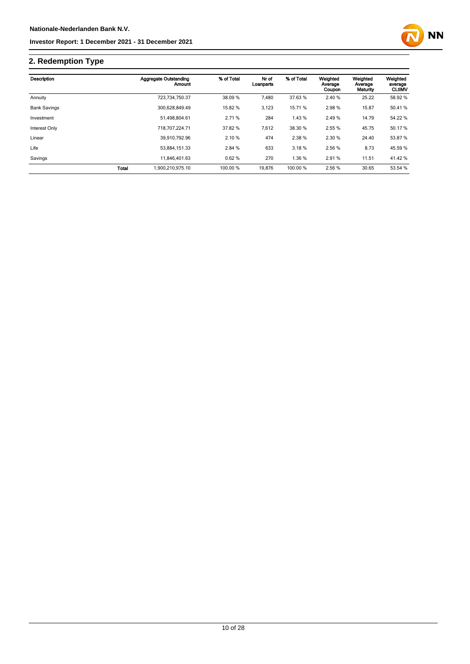

# **2. Redemption Type**

| Description         |       | <b>Aggregate Outstanding</b><br>Amount | % of Total | Nr of<br>Loanparts | % of Total | Weighted<br>Average<br>Coupon | Weighted<br>Average<br>Maturity | Weighted<br>average<br><b>CLtIMV</b> |
|---------------------|-------|----------------------------------------|------------|--------------------|------------|-------------------------------|---------------------------------|--------------------------------------|
| Annuity             |       | 723.734.750.37                         | 38.09 %    | 7,480              | 37.63 %    | 2.40 %                        | 25.22                           | 58.92 %                              |
| <b>Bank Savings</b> |       | 300.628.849.49                         | 15.82 %    | 3,123              | 15.71 %    | 2.98%                         | 15.87                           | 50.41%                               |
| Investment          |       | 51.498.804.61                          | 2.71%      | 284                | 1.43 %     | 2.49 %                        | 14.79                           | 54.22 %                              |
| Interest Only       |       | 718,707,224.71                         | 37.82 %    | 7,612              | 38.30 %    | 2.55 %                        | 45.75                           | 50.17 %                              |
| Linear              |       | 39.910.792.96                          | 2.10 %     | 474                | 2.38%      | 2.30 %                        | 24.40                           | 53.87 %                              |
| Life                |       | 53.884.151.33                          | 2.84 %     | 633                | 3.18%      | 2.56 %                        | 8.73                            | 45.59 %                              |
| Savings             |       | 11.846.401.63                          | 0.62%      | 270                | 1.36 %     | 2.91%                         | 11.51                           | 41.42 %                              |
|                     | Total | 1.900.210.975.10                       | 100.00 %   | 19.876             | 100.00 %   | 2.56 %                        | 30.65                           | 53.54 %                              |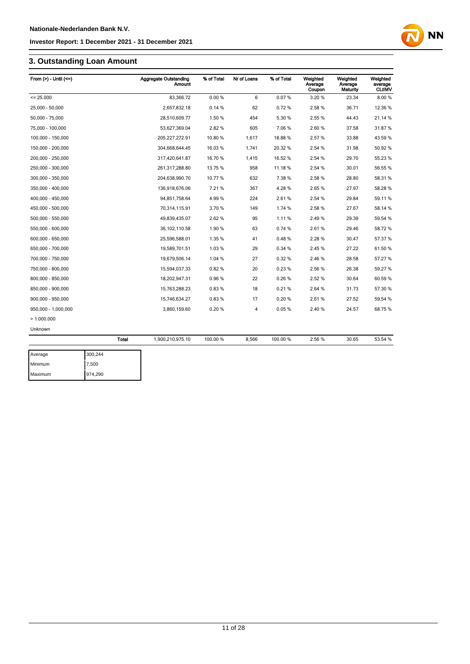# **3. Outstanding Loan Amount**

| From $(>)$ - Until $(<=)$ |         | <b>Aggregate Outstanding</b><br>Amount | % of Total | Nr of Loans    | % of Total | Weighted<br>Average<br>Coupon | Weighted<br>Average<br>Maturity | Weighted<br>average<br><b>CLtIMV</b> |
|---------------------------|---------|----------------------------------------|------------|----------------|------------|-------------------------------|---------------------------------|--------------------------------------|
| $= 25.000$                |         | 83,366.72                              | 0.00%      | 6              | 0.07%      | 3.20%                         | 23.34                           | 8.00%                                |
| 25.000 - 50.000           |         | 2.657.832.18                           | 0.14%      | 62             | 0.72%      | 2.58%                         | 36.71                           | 12.36 %                              |
| 50,000 - 75,000           |         | 28,510,609.77                          | 1.50 %     | 454            | 5.30 %     | 2.55 %                        | 44.43                           | 21.14 %                              |
| 75,000 - 100,000          |         | 53,627,369.04                          | 2.82%      | 605            | 7.06%      | 2.60%                         | 37.58                           | 31.87%                               |
| 100,000 - 150,000         |         | 205,227,272.91                         | 10.80%     | 1,617          | 18.88%     | 2.57%                         | 33.88                           | 43.59 %                              |
| 150,000 - 200,000         |         | 304,668,644.45                         | 16.03 %    | 1,741          | 20.32 %    | 2.54 %                        | 31.98                           | 50.92 %                              |
| 200,000 - 250,000         |         | 317,420,641.87                         | 16.70 %    | 1,415          | 16.52 %    | 2.54 %                        | 29.70                           | 55.23 %                              |
| 250,000 - 300,000         |         | 261,317,288.80                         | 13.75 %    | 958            | 11.18%     | 2.54 %                        | 30.01                           | 56.55 %                              |
| 300,000 - 350,000         |         | 204,638,990.70                         | 10.77 %    | 632            | 7.38%      | 2.58%                         | 28.80                           | 58.31 %                              |
| 350,000 - 400,000         |         | 136,918,676.06                         | 7.21 %     | 367            | 4.28%      | 2.65%                         | 27.97                           | 58.28 %                              |
| 400,000 - 450,000         |         | 94,851,758.64                          | 4.99%      | 224            | 2.61%      | 2.54 %                        | 29.84                           | 59.11 %                              |
| 450,000 - 500,000         |         | 70,314,115.91                          | 3.70 %     | 149            | 1.74 %     | 2.58%                         | 27.67                           | 58.14 %                              |
| 500,000 - 550,000         |         | 49,839,435.07                          | 2.62%      | 95             | 1.11%      | 2.49%                         | 29.39                           | 59.54 %                              |
| 550,000 - 600,000         |         | 36, 102, 110.58                        | 1.90%      | 63             | 0.74%      | 2.61%                         | 29.46                           | 58.72 %                              |
| 600,000 - 650,000         |         | 25,596,588.01                          | 1.35%      | 41             | 0.48%      | 2.28%                         | 30.47                           | 57.37 %                              |
| 650,000 - 700,000         |         | 19,589,701.51                          | 1.03%      | 29             | 0.34%      | 2.45%                         | 27.22                           | 61.50 %                              |
| 700,000 - 750,000         |         | 19,679,506.14                          | 1.04 %     | 27             | 0.32%      | 2.46%                         | 28.58                           | 57.27 %                              |
| 750,000 - 800,000         |         | 15,594,037.33                          | 0.82%      | 20             | 0.23%      | 2.56%                         | 26.38                           | 59.27 %                              |
| 800,000 - 850,000         |         | 18,202,947.31                          | 0.96%      | 22             | 0.26%      | 2.52%                         | 30.64                           | 60.59 %                              |
| 850,000 - 900,000         |         | 15,763,288.23                          | 0.83%      | 18             | 0.21%      | 2.64 %                        | 31.73                           | 57.30 %                              |
| 900,000 - 950,000         |         | 15,746,634.27                          | 0.83%      | 17             | 0.20%      | 2.61%                         | 27.52                           | 59.54 %                              |
| 950,000 - 1,000,000       |         | 3,860,159.60                           | 0.20%      | $\overline{4}$ | 0.05%      | 2.40%                         | 24.57                           | 68.75 %                              |
| >1.000.000                |         |                                        |            |                |            |                               |                                 |                                      |
| Unknown                   |         |                                        |            |                |            |                               |                                 |                                      |
|                           | Total   | 1,900,210,975.10                       | 100.00 %   | 8,566          | 100.00 %   | 2.56%                         | 30.65                           | 53.54 %                              |
| Average                   | 300,244 |                                        |            |                |            |                               |                                 |                                      |

| Average | 300,244 |
|---------|---------|
| Minimum | 7,500   |
| Maximum | 974,290 |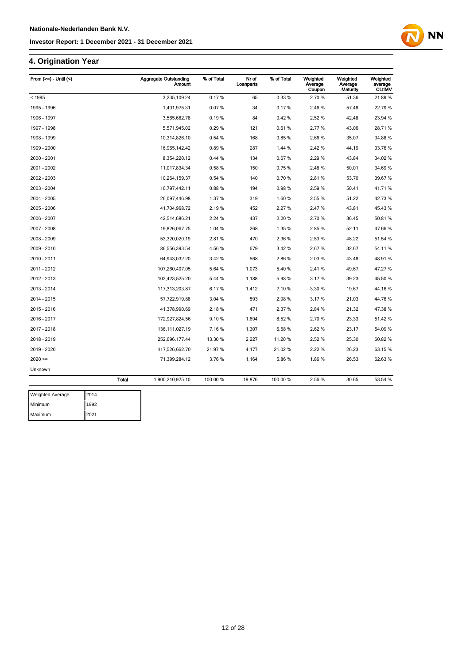# **4. Origination Year**

| From $(>=)$ - Until $($ | <b>Aggregate Outstanding</b><br><b>Amount</b> | % of Total | Nr of<br>Loanparts | % of Total | Weighted<br>Average<br>Coupon | Weighted<br>Average<br>Maturity | Weighted<br>average<br><b>CLtIMV</b> |
|-------------------------|-----------------------------------------------|------------|--------------------|------------|-------------------------------|---------------------------------|--------------------------------------|
| < 1995                  | 3,235,109.24                                  | 0.17%      | 65                 | 0.33%      | 2.70 %                        | 51.36                           | 21.89%                               |
| 1995 - 1996             | 1,401,975.31                                  | 0.07%      | 34                 | 0.17%      | 2.46%                         | 57.48                           | 22.79%                               |
| 1996 - 1997             | 3,565,682.78                                  | 0.19%      | 84                 | 0.42%      | 2.52 %                        | 42.48                           | 23.94 %                              |
| 1997 - 1998             | 5,571,945.02                                  | 0.29%      | 121                | 0.61%      | 2.77%                         | 43.06                           | 28.71 %                              |
| 1998 - 1999             | 10,314,826.10                                 | 0.54%      | 168                | 0.85%      | 2.66%                         | 35.07                           | 34.88%                               |
| 1999 - 2000             | 16,965,142.42                                 | 0.89%      | 287                | 1.44 %     | 2.42%                         | 44.19                           | 33.76 %                              |
| 2000 - 2001             | 8,354,220.12                                  | 0.44%      | 134                | 0.67%      | 2.29%                         | 43.84                           | 34.02 %                              |
| 2001 - 2002             | 11,017,834.34                                 | 0.58%      | 150                | 0.75%      | 2.48%                         | 50.01                           | 34.69%                               |
| 2002 - 2003             | 10,264,159.37                                 | 0.54 %     | 140                | 0.70%      | 2.81%                         | 53.70                           | 39.67%                               |
| 2003 - 2004             | 16,797,442.11                                 | 0.88%      | 194                | 0.98%      | 2.59%                         | 50.41                           | 41.71%                               |
| 2004 - 2005             | 26,097,446.98                                 | 1.37%      | 319                | 1.60%      | 2.55 %                        | 51.22                           | 42.73%                               |
| 2005 - 2006             | 41,704,968.72                                 | 2.19%      | 452                | 2.27 %     | 2.47%                         | 43.81                           | 45.43 %                              |
| 2006 - 2007             | 42,514,686.21                                 | 2.24 %     | 437                | 2.20%      | 2.70%                         | 36.45                           | 50.81%                               |
| 2007 - 2008             | 19,826,067.75                                 | 1.04 %     | 268                | 1.35%      | 2.85%                         | 52.11                           | 47.66%                               |
| 2008 - 2009             | 53,320,020.19                                 | 2.81%      | 470                | 2.36%      | 2.53 %                        | 48.22                           | 51.54 %                              |
| 2009 - 2010             | 86,556,393.54                                 | 4.56%      | 679                | 3.42%      | 2.67%                         | 32.67                           | 54.11%                               |
| 2010 - 2011             | 64,943,032.20                                 | 3.42%      | 568                | 2.86%      | 2.03%                         | 43.48                           | 48.91%                               |
| 2011 - 2012             | 107,260,407.05                                | 5.64 %     | 1,073              | 5.40%      | 2.41%                         | 49.67                           | 47.27 %                              |
| 2012 - 2013             | 103,423,525.20                                | 5.44 %     | 1,188              | 5.98%      | 3.17%                         | 39.23                           | 45.50 %                              |
| 2013 - 2014             | 117,313,203.87                                | 6.17%      | 1,412              | 7.10%      | 3.30 %                        | 19.67                           | 44.16%                               |
| 2014 - 2015             | 57,722,919.88                                 | 3.04 %     | 593                | 2.98%      | 3.17%                         | 21.03                           | 44.76%                               |
| 2015 - 2016             | 41,378,990.69                                 | 2.18%      | 471                | 2.37 %     | 2.84 %                        | 21.32                           | 47.38%                               |
| 2016 - 2017             | 172,927,824.56                                | 9.10%      | 1,694              | 8.52%      | 2.70%                         | 23.33                           | 51.42%                               |
| 2017 - 2018             | 136, 111, 027. 19                             | 7.16%      | 1,307              | 6.58%      | 2.62%                         | 23.17                           | 54.09%                               |
| 2018 - 2019             | 252,696,177.44                                | 13.30 %    | 2,227              | 11.20%     | 2.52%                         | 25.30                           | 60.82%                               |
| 2019 - 2020             | 417,526,662.70                                | 21.97%     | 4,177              | 21.02%     | 2.22 %                        | 26.23                           | 63.15 %                              |
| $2020 =$                | 71,399,284.12                                 | 3.76%      | 1,164              | 5.86%      | 1.86%                         | 26.53                           | 62.63%                               |
| Unknown                 |                                               |            |                    |            |                               |                                 |                                      |
|                         | <b>Total</b><br>1,900,210,975.10              | 100.00 %   | 19,876             | 100.00%    | 2.56 %                        | 30.65                           | 53.54 %                              |

| <b>Weighted Average</b> | 2014 |
|-------------------------|------|
| Minimum                 | 1992 |
| Maximum                 | 2021 |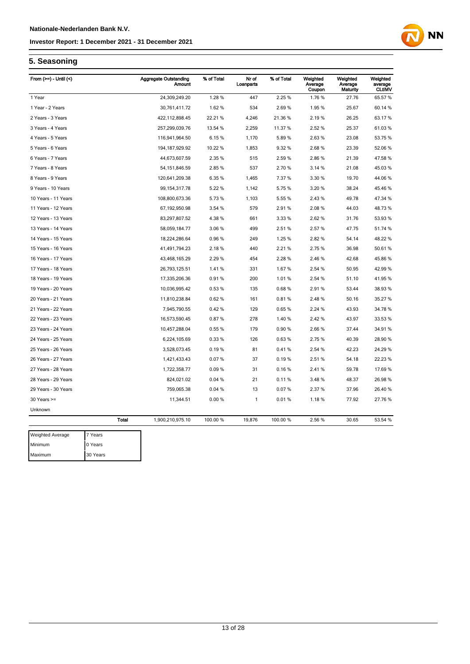

# **5. Seasoning**

| From $(>=)$ - Until $($     | <b>Aggregate Outstanding</b><br>Amount | % of Total | Nr of<br>Loanparts | % of Total | Weighted<br>Average<br>Coupon | Weighted<br>Average<br>Maturity | Weighted<br>average<br><b>CLtIMV</b> |
|-----------------------------|----------------------------------------|------------|--------------------|------------|-------------------------------|---------------------------------|--------------------------------------|
| 1 Year                      | 24,309,249.20                          | 1.28%      | 447                | 2.25 %     | 1.76%                         | 27.76                           | 65.57 %                              |
| 1 Year - 2 Years            | 30,761,411.72                          | 1.62%      | 534                | 2.69%      | 1.95%                         | 25.67                           | 60.14 %                              |
| 2 Years - 3 Years           | 422, 112, 898.45                       | 22.21 %    | 4,246              | 21.36%     | 2.19%                         | 26.25                           | 63.17 %                              |
| 3 Years - 4 Years           | 257,299,039.76                         | 13.54 %    | 2,259              | 11.37%     | 2.52 %                        | 25.37                           | 61.03%                               |
| 4 Years - 5 Years           | 116,941,964.50                         | 6.15%      | 1,170              | 5.89%      | 2.63%                         | 23.08                           | 53.75 %                              |
| 5 Years - 6 Years           | 194, 187, 929. 92                      | 10.22 %    | 1,853              | 9.32%      | 2.68%                         | 23.39                           | 52.06 %                              |
| 6 Years - 7 Years           | 44,673,607.59                          | 2.35 %     | 515                | 2.59%      | 2.86%                         | 21.39                           | 47.58 %                              |
| 7 Years - 8 Years           | 54, 151, 846.59                        | 2.85%      | 537                | 2.70%      | 3.14%                         | 21.08                           | 45.03%                               |
| 8 Years - 9 Years           | 120,641,209.38                         | 6.35%      | 1,465              | 7.37%      | 3.30 %                        | 19.70                           | 44.06%                               |
| 9 Years - 10 Years          | 99, 154, 317. 78                       | 5.22 %     | 1,142              | 5.75%      | 3.20 %                        | 38.24                           | 45.46 %                              |
| 10 Years - 11 Years         | 108,800,673.36                         | 5.73%      | 1,103              | 5.55 %     | 2.43%                         | 49.78                           | 47.34 %                              |
| 11 Years - 12 Years         | 67,192,950.98                          | 3.54 %     | 579                | 2.91%      | 2.08%                         | 44.03                           | 48.73%                               |
| 12 Years - 13 Years         | 83,297,807.52                          | 4.38%      | 661                | 3.33 %     | 2.62%                         | 31.76                           | 53.93 %                              |
| 13 Years - 14 Years         | 58,059,184.77                          | 3.06%      | 499                | 2.51%      | 2.57%                         | 47.75                           | 51.74 %                              |
| 14 Years - 15 Years         | 18,224,286.64                          | 0.96%      | 249                | 1.25 %     | 2.82%                         | 54.14                           | 48.22 %                              |
| 15 Years - 16 Years         | 41,491,794.23                          | 2.18%      | 440                | 2.21%      | 2.75%                         | 36.98                           | 50.61%                               |
| 16 Years - 17 Years         | 43,468,165.29                          | 2.29 %     | 454                | 2.28%      | 2.46 %                        | 42.68                           | 45.86 %                              |
| 17 Years - 18 Years         | 26,793,125.51                          | 1.41%      | 331                | 1.67%      | 2.54 %                        | 50.95                           | 42.99 %                              |
| 18 Years - 19 Years         | 17,335,206.36                          | 0.91%      | 200                | 1.01%      | 2.54 %                        | 51.10                           | 41.95 %                              |
| 19 Years - 20 Years         | 10,036,995.42                          | 0.53%      | 135                | 0.68%      | 2.91%                         | 53.44                           | 38.93 %                              |
| 20 Years - 21 Years         | 11,810,238.84                          | 0.62%      | 161                | 0.81%      | 2.48%                         | 50.16                           | 35.27 %                              |
| 21 Years - 22 Years         | 7,945,790.55                           | 0.42%      | 129                | 0.65%      | 2.24 %                        | 43.93                           | 34.78 %                              |
| 22 Years - 23 Years         | 16,573,590.45                          | 0.87%      | 278                | 1.40 %     | 2.42 %                        | 43.97                           | 33.53 %                              |
| 23 Years - 24 Years         | 10,457,288.04                          | 0.55 %     | 179                | 0.90%      | 2.66%                         | 37.44                           | 34.91 %                              |
| 24 Years - 25 Years         | 6,224,105.69                           | 0.33%      | 126                | 0.63%      | 2.75 %                        | 40.39                           | 28.90 %                              |
| 25 Years - 26 Years         | 3,528,073.45                           | 0.19%      | 81                 | 0.41%      | 2.54 %                        | 42.23                           | 24.29 %                              |
| 26 Years - 27 Years         | 1,421,433.43                           | 0.07%      | 37                 | 0.19%      | 2.51%                         | 54.18                           | 22.23 %                              |
| 27 Years - 28 Years         | 1,722,358.77                           | 0.09%      | 31                 | 0.16%      | 2.41 %                        | 59.78                           | 17.69 %                              |
| 28 Years - 29 Years         | 824,021.02                             | 0.04%      | 21                 | 0.11%      | 3.48%                         | 48.37                           | 26.98 %                              |
| 29 Years - 30 Years         | 759,065.38                             | 0.04%      | 13                 | 0.07%      | 2.37 %                        | 37.96                           | 26.40 %                              |
| $30$ Years $>=$             | 11,344.51                              | 0.00%      | 1                  | 0.01%      | 1.18%                         | 77.92                           | 27.76 %                              |
| Unknown                     |                                        |            |                    |            |                               |                                 |                                      |
| <b>Total</b>                | 1,900,210,975.10                       | 100.00 %   | 19,876             | 100.00 %   | 2.56 %                        | 30.65                           | 53.54 %                              |
| 7 Voore<br>Moightod Average |                                        |            |                    |            |                               |                                 |                                      |

ighted Average 7 Years Minimum 0 Years Maximum 30 Years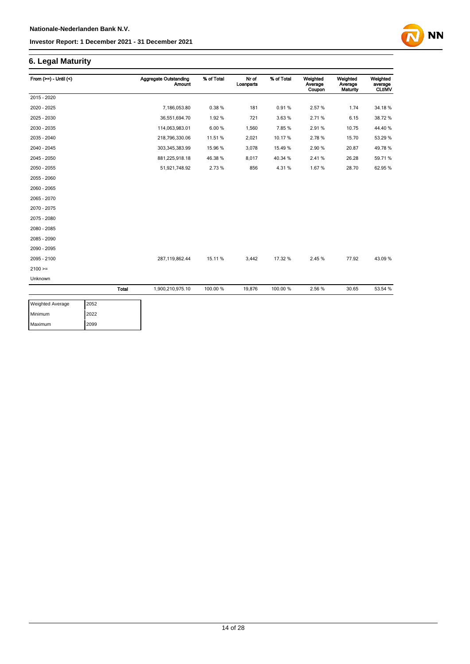### **6. Legal Maturity**

| From $(>=) -$ Until $($ | <b>Aggregate Outstanding</b>     | <b>Amount</b> | % of Total | Nr of<br>Loanparts | % of Total | Weighted<br>Average<br>Coupon | Weighted<br>Average<br>Maturity | Weighted<br>average<br><b>CLtIMV</b> |
|-------------------------|----------------------------------|---------------|------------|--------------------|------------|-------------------------------|---------------------------------|--------------------------------------|
| 2015 - 2020             |                                  |               |            |                    |            |                               |                                 |                                      |
| 2020 - 2025             | 7,186,053.80                     |               | 0.38%      | 181                | 0.91%      | 2.57%                         | 1.74                            | 34.18%                               |
| 2025 - 2030             | 36,551,694.70                    |               | 1.92%      | 721                | 3.63%      | 2.71%                         | 6.15                            | 38.72 %                              |
| 2030 - 2035             | 114,063,983.01                   |               | 6.00%      | 1,560              | 7.85%      | 2.91%                         | 10.75                           | 44.40%                               |
| 2035 - 2040             | 218,796,330.06                   |               | 11.51 %    | 2,021              | 10.17%     | 2.78%                         | 15.70                           | 53.29 %                              |
| 2040 - 2045             | 303,345,383.99                   |               | 15.96 %    | 3,078              | 15.49%     | 2.90%                         | 20.87                           | 49.78%                               |
| 2045 - 2050             | 881,225,918.18                   |               | 46.38%     | 8,017              | 40.34 %    | 2.41%                         | 26.28                           | 59.71 %                              |
| 2050 - 2055             | 51,921,748.92                    |               | 2.73 %     | 856                | 4.31%      | 1.67%                         | 28.70                           | 62.95 %                              |
| 2055 - 2060             |                                  |               |            |                    |            |                               |                                 |                                      |
| 2060 - 2065             |                                  |               |            |                    |            |                               |                                 |                                      |
| 2065 - 2070             |                                  |               |            |                    |            |                               |                                 |                                      |
| 2070 - 2075             |                                  |               |            |                    |            |                               |                                 |                                      |
| 2075 - 2080             |                                  |               |            |                    |            |                               |                                 |                                      |
| 2080 - 2085             |                                  |               |            |                    |            |                               |                                 |                                      |
| 2085 - 2090             |                                  |               |            |                    |            |                               |                                 |                                      |
| 2090 - 2095             |                                  |               |            |                    |            |                               |                                 |                                      |
| 2095 - 2100             | 287,119,862.44                   |               | 15.11 %    | 3,442              | 17.32 %    | 2.45%                         | 77.92                           | 43.09%                               |
| $2100 >=$               |                                  |               |            |                    |            |                               |                                 |                                      |
| Unknown                 |                                  |               |            |                    |            |                               |                                 |                                      |
|                         | <b>Total</b><br>1,900,210,975.10 |               | 100.00 %   | 19,876             | 100.00%    | 2.56 %                        | 30.65                           | 53.54 %                              |

| <b>Weighted Average</b> | 2052 |
|-------------------------|------|
| Minimum                 | 2022 |
| Maximum                 | 2099 |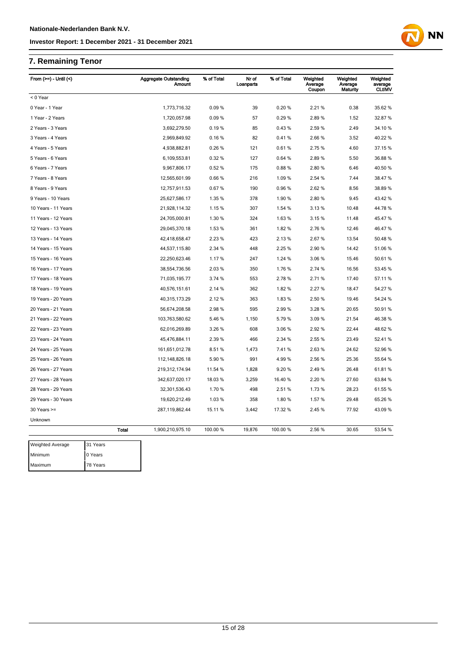# **7. Remaining Tenor**

| From $(>=)$ - Until $($ |              | <b>Aggregate Outstanding</b><br><b>Amount</b> | % of Total | Nr of<br>Loanparts | % of Total | Weighted<br>Average<br>Coupon | Weighted<br>Average<br>Maturity | Weighted<br>average<br><b>CLtIMV</b> |
|-------------------------|--------------|-----------------------------------------------|------------|--------------------|------------|-------------------------------|---------------------------------|--------------------------------------|
| < 0 Year                |              |                                               |            |                    |            |                               |                                 |                                      |
| 0 Year - 1 Year         |              | 1,773,716.32                                  | 0.09%      | 39                 | 0.20%      | 2.21%                         | 0.38                            | 35.62 %                              |
| 1 Year - 2 Years        |              | 1,720,057.98                                  | 0.09%      | 57                 | 0.29%      | 2.89%                         | 1.52                            | 32.87 %                              |
| 2 Years - 3 Years       |              | 3,692,279.50                                  | 0.19%      | 85                 | 0.43%      | 2.59%                         | 2.49                            | 34.10 %                              |
| 3 Years - 4 Years       |              | 2,969,849.92                                  | 0.16%      | 82                 | 0.41%      | 2.66%                         | 3.52                            | 40.22 %                              |
| 4 Years - 5 Years       |              | 4,938,882.81                                  | 0.26%      | 121                | 0.61%      | 2.75%                         | 4.60                            | 37.15 %                              |
| 5 Years - 6 Years       |              | 6,109,553.81                                  | 0.32%      | 127                | 0.64%      | 2.89%                         | 5.50                            | 36.88 %                              |
| 6 Years - 7 Years       |              | 9,967,806.17                                  | 0.52%      | 175                | 0.88%      | 2.80%                         | 6.46                            | 40.50 %                              |
| 7 Years - 8 Years       |              | 12,565,601.99                                 | 0.66%      | 216                | 1.09%      | 2.54 %                        | 7.44                            | 38.47 %                              |
| 8 Years - 9 Years       |              | 12,757,911.53                                 | 0.67%      | 190                | 0.96%      | 2.62%                         | 8.56                            | 38.89 %                              |
| 9 Years - 10 Years      |              | 25,627,586.17                                 | 1.35 %     | 378                | 1.90%      | 2.80%                         | 9.45                            | 43.42 %                              |
| 10 Years - 11 Years     |              | 21,928,114.32                                 | 1.15%      | 307                | 1.54 %     | 3.13%                         | 10.48                           | 44.78%                               |
| 11 Years - 12 Years     |              | 24,705,000.81                                 | 1.30 %     | 324                | 1.63%      | 3.15%                         | 11.48                           | 45.47%                               |
| 12 Years - 13 Years     |              | 29,045,370.18                                 | 1.53 %     | 361                | 1.82%      | 2.76 %                        | 12.46                           | 46.47 %                              |
| 13 Years - 14 Years     |              | 42,418,658.47                                 | 2.23%      | 423                | 2.13%      | 2.67%                         | 13.54                           | 50.48 %                              |
| 14 Years - 15 Years     |              | 44,537,115.80                                 | 2.34 %     | 448                | 2.25 %     | 2.90 %                        | 14.42                           | 51.06 %                              |
| 15 Years - 16 Years     |              | 22,250,623.46                                 | 1.17%      | 247                | 1.24 %     | 3.06%                         | 15.46                           | 50.61%                               |
| 16 Years - 17 Years     |              | 38,554,736.56                                 | 2.03%      | 350                | 1.76%      | 2.74 %                        | 16.56                           | 53.45 %                              |
| 17 Years - 18 Years     |              | 71,035,195.77                                 | 3.74 %     | 553                | 2.78%      | 2.71%                         | 17.40                           | 57.11 %                              |
| 18 Years - 19 Years     |              | 40,576,151.61                                 | 2.14 %     | 362                | 1.82%      | 2.27 %                        | 18.47                           | 54.27 %                              |
| 19 Years - 20 Years     |              | 40,315,173.29                                 | 2.12 %     | 363                | 1.83%      | 2.50 %                        | 19.46                           | 54.24 %                              |
| 20 Years - 21 Years     |              | 56,674,208.58                                 | 2.98%      | 595                | 2.99%      | 3.28 %                        | 20.65                           | 50.91 %                              |
| 21 Years - 22 Years     |              | 103,763,580.62                                | 5.46%      | 1,150              | 5.79%      | 3.09%                         | 21.54                           | 46.38 %                              |
| 22 Years - 23 Years     |              | 62,016,269.89                                 | 3.26 %     | 608                | 3.06%      | 2.92%                         | 22.44                           | 48.62%                               |
| 23 Years - 24 Years     |              | 45,476,884.11                                 | 2.39 %     | 466                | 2.34 %     | 2.55 %                        | 23.49                           | 52.41%                               |
| 24 Years - 25 Years     |              | 161,651,012.78                                | 8.51%      | 1,473              | 7.41%      | 2.63%                         | 24.62                           | 52.96 %                              |
| 25 Years - 26 Years     |              | 112, 148, 826. 18                             | 5.90 %     | 991                | 4.99%      | 2.56 %                        | 25.36                           | 55.64 %                              |
| 26 Years - 27 Years     |              | 219,312,174.94                                | 11.54 %    | 1,828              | 9.20%      | 2.49%                         | 26.48                           | 61.81%                               |
| 27 Years - 28 Years     |              | 342,637,020.17                                | 18.03%     | 3,259              | 16.40%     | 2.20%                         | 27.60                           | 63.84 %                              |
| 28 Years - 29 Years     |              | 32,301,536.43                                 | 1.70%      | 498                | 2.51%      | 1.73%                         | 28.23                           | 61.55 %                              |
| 29 Years - 30 Years     |              | 19,620,212.49                                 | 1.03%      | 358                | 1.80%      | 1.57%                         | 29.48                           | 65.26 %                              |
| $30$ Years $>=$         |              | 287,119,862.44                                | 15.11 %    | 3,442              | 17.32 %    | 2.45 %                        | 77.92                           | 43.09 %                              |
| Unknown                 |              |                                               |            |                    |            |                               |                                 |                                      |
|                         | <b>Total</b> | 1,900,210,975.10                              | 100.00 %   | 19,876             | 100.00%    | 2.56 %                        | 30.65                           | 53.54 %                              |
| <b>Weighted Average</b> | 31 Years     |                                               |            |                    |            |                               |                                 |                                      |
| Minimum                 | 0 Years      |                                               |            |                    |            |                               |                                 |                                      |
| Maximum                 | 78 Years     |                                               |            |                    |            |                               |                                 |                                      |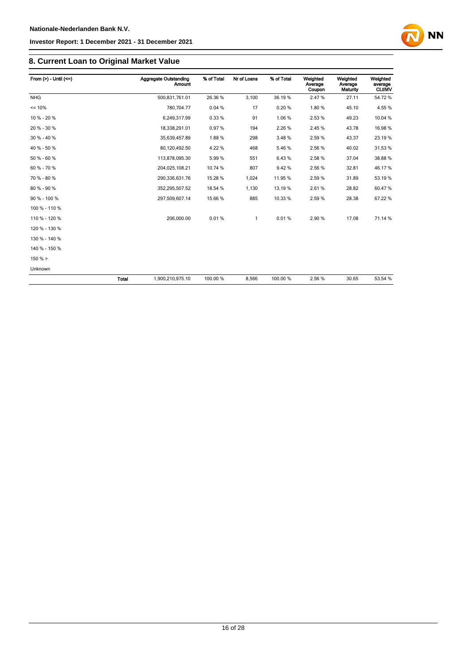### **8. Current Loan to Original Market Value**

| From $(>)$ - Until $(<=)$ |              | Aggregate Outstanding<br><b>Amount</b> | % of Total | Nr of Loans | % of Total | Weighted<br>Average<br>Coupon | Weighted<br>Average<br>Maturity | Weighted<br>average<br><b>CLtIMV</b> |
|---------------------------|--------------|----------------------------------------|------------|-------------|------------|-------------------------------|---------------------------------|--------------------------------------|
| <b>NHG</b>                |              | 500,831,761.01                         | 26.36 %    | 3,100       | 36.19%     | 2.47%                         | 27.11                           | 54.72%                               |
| $= 10%$                   |              | 780.704.77                             | 0.04%      | 17          | 0.20%      | 1.80%                         | 45.10                           | 4.55 %                               |
| 10 % - 20 %               |              | 6,249,317.99                           | 0.33%      | 91          | 1.06%      | 2.53%                         | 49.23                           | 10.04 %                              |
| 20 % - 30 %               |              | 18,338,291.01                          | 0.97%      | 194         | 2.26%      | 2.45 %                        | 43.78                           | 16.98 %                              |
| 30 % - 40 %               |              | 35,639,457.89                          | 1.88%      | 298         | 3.48%      | 2.59%                         | 43.37                           | 23.19 %                              |
| 40 % - 50 %               |              | 80,120,492.50                          | 4.22 %     | 468         | 5.46%      | 2.56%                         | 40.02                           | 31.53 %                              |
| 50 % - 60 %               |              | 113,878,095.30                         | 5.99%      | 551         | 6.43%      | 2.58%                         | 37.04                           | 38.88%                               |
| 60 % - 70 %               |              | 204,025,108.21                         | 10.74 %    | 807         | 9.42%      | 2.56 %                        | 32.81                           | 46.17%                               |
| 70 % - 80 %               |              | 290,336,631.76                         | 15.28 %    | 1,024       | 11.95 %    | 2.59%                         | 31.89                           | 53.19 %                              |
| 80 % - 90 %               |              | 352,295,507.52                         | 18.54 %    | 1,130       | 13.19%     | 2.61%                         | 28.82                           | 60.47%                               |
| 90 % - 100 %              |              | 297,509,607.14                         | 15.66 %    | 885         | 10.33%     | 2.59%                         | 28.38                           | 67.22%                               |
| 100 % - 110 %             |              |                                        |            |             |            |                               |                                 |                                      |
| 110 % - 120 %             |              | 206,000.00                             | 0.01%      | 1           | 0.01%      | 2.90%                         | 17.08                           | 71.14 %                              |
| 120 % - 130 %             |              |                                        |            |             |            |                               |                                 |                                      |
| 130 % - 140 %             |              |                                        |            |             |            |                               |                                 |                                      |
| 140 % - 150 %             |              |                                        |            |             |            |                               |                                 |                                      |
| 150% >                    |              |                                        |            |             |            |                               |                                 |                                      |
| Unknown                   |              |                                        |            |             |            |                               |                                 |                                      |
|                           | <b>Total</b> | 1,900,210,975.10                       | 100.00 %   | 8,566       | 100.00 %   | 2.56 %                        | 30.65                           | 53.54 %                              |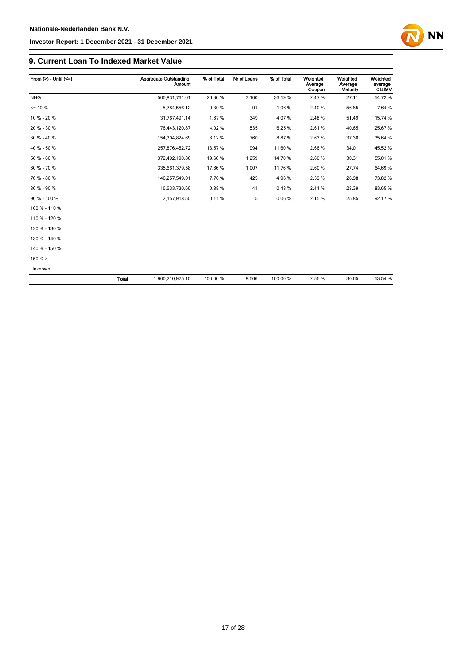### **9. Current Loan To Indexed Market Value**

| From $(>) -$ Until $(<=)$ |       | Aggregate Outstanding<br><b>Amount</b> | % of Total | Nr of Loans | % of Total | Weighted<br>Average<br>Coupon | Weighted<br>Average<br><b>Maturity</b> | Weighted<br>average<br><b>CLtIMV</b> |
|---------------------------|-------|----------------------------------------|------------|-------------|------------|-------------------------------|----------------------------------------|--------------------------------------|
| <b>NHG</b>                |       | 500,831,761.01                         | 26.36 %    | 3,100       | 36.19%     | 2.47%                         | 27.11                                  | 54.72%                               |
| $= 10 \%$                 |       | 5,784,556.12                           | 0.30%      | 91          | 1.06%      | 2.40%                         | 56.85                                  | 7.64 %                               |
| 10 % - 20 %               |       | 31,767,491.14                          | 1.67%      | 349         | 4.07%      | 2.48%                         | 51.49                                  | 15.74 %                              |
| 20 % - 30 %               |       | 76,443,120.87                          | 4.02%      | 535         | 6.25%      | 2.61%                         | 40.65                                  | 25.67%                               |
| 30 % - 40 %               |       | 154,304,824.69                         | 8.12%      | 760         | 8.87%      | 2.63%                         | 37.30                                  | 35.64 %                              |
| 40 % - 50 %               |       | 257,876,452.72                         | 13.57 %    | 994         | 11.60%     | 2.66%                         | 34.01                                  | 45.52 %                              |
| 50 % - 60 %               |       | 372,492,190.80                         | 19.60 %    | 1,259       | 14.70 %    | 2.60%                         | 30.31                                  | 55.01 %                              |
| 60 % - 70 %               |       | 335,661,379.58                         | 17.66 %    | 1,007       | 11.76 %    | 2.60%                         | 27.74                                  | 64.69%                               |
| 70 % - 80 %               |       | 146,257,549.01                         | 7.70%      | 425         | 4.96%      | 2.39%                         | 26.98                                  | 73.82 %                              |
| 80 % - 90 %               |       | 16,633,730.66                          | 0.88%      | 41          | 0.48%      | 2.41%                         | 28.39                                  | 83.65%                               |
| 90 % - 100 %              |       | 2,157,918.50                           | 0.11%      | 5           | 0.06%      | 2.15%                         | 25.85                                  | 92.17%                               |
| 100 % - 110 %             |       |                                        |            |             |            |                               |                                        |                                      |
| 110 % - 120 %             |       |                                        |            |             |            |                               |                                        |                                      |
| 120 % - 130 %             |       |                                        |            |             |            |                               |                                        |                                      |
| 130 % - 140 %             |       |                                        |            |             |            |                               |                                        |                                      |
| 140 % - 150 %             |       |                                        |            |             |            |                               |                                        |                                      |
| 150%                      |       |                                        |            |             |            |                               |                                        |                                      |
| Unknown                   |       |                                        |            |             |            |                               |                                        |                                      |
|                           | Total | 1,900,210,975.10                       | 100.00 %   | 8,566       | 100.00 %   | 2.56%                         | 30.65                                  | 53.54 %                              |

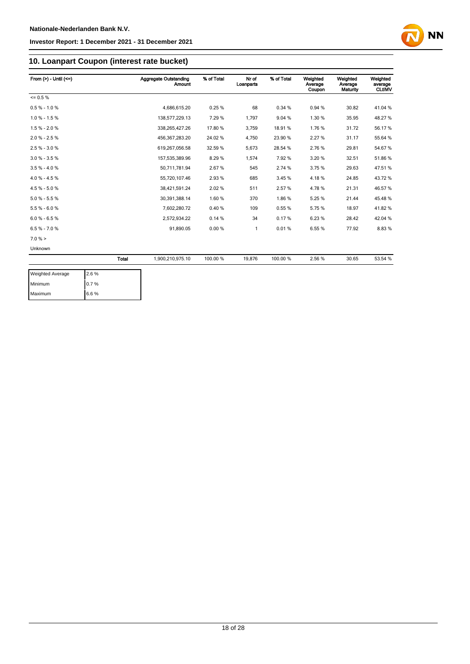

### **10. Loanpart Coupon (interest rate bucket)**

| From $(>) -$ Until $(<=)$ |       | <b>Aggregate Outstanding</b><br><b>Amount</b> | % of Total | Nr of<br>Loanparts | % of Total | Weighted<br>Average<br>Coupon | Weighted<br>Average<br>Maturity | Weighted<br>average<br><b>CLtIMV</b> |
|---------------------------|-------|-----------------------------------------------|------------|--------------------|------------|-------------------------------|---------------------------------|--------------------------------------|
| $= 0.5 \%$                |       |                                               |            |                    |            |                               |                                 |                                      |
| $0.5 % - 1.0 %$           |       | 4,686,615.20                                  | 0.25%      | 68                 | 0.34%      | 0.94%                         | 30.82                           | 41.04 %                              |
| $1.0 \% - 1.5 \%$         |       | 138,577,229.13                                | 7.29 %     | 1.797              | 9.04%      | 1.30%                         | 35.95                           | 48.27%                               |
| $1.5% - 2.0%$             |       | 338,265,427.26                                | 17.80 %    | 3,759              | 18.91%     | 1.76%                         | 31.72                           | 56.17%                               |
| $2.0 \% - 2.5 \%$         |       | 456, 367, 283. 20                             | 24.02%     | 4,750              | 23.90 %    | 2.27%                         | 31.17                           | 55.64 %                              |
| $2.5 \% - 3.0 \%$         |       | 619,267,056.58                                | 32.59 %    | 5,673              | 28.54 %    | 2.76%                         | 29.81                           | 54.67%                               |
| $3.0 \% - 3.5 \%$         |       | 157,535,389.96                                | 8.29%      | 1,574              | 7.92%      | 3.20%                         | 32.51                           | 51.86%                               |
| $3.5 \% - 4.0 \%$         |       | 50,711,781.94                                 | 2.67%      | 545                | 2.74 %     | 3.75 %                        | 29.63                           | 47.51%                               |
| $4.0 \% - 4.5 \%$         |       | 55,720,107.46                                 | 2.93%      | 685                | 3.45%      | 4.18%                         | 24.85                           | 43.72%                               |
| 4.5 % - 5.0 %             |       | 38,421,591.24                                 | 2.02%      | 511                | 2.57%      | 4.78%                         | 21.31                           | 46.57%                               |
| $5.0 % - 5.5 %$           |       | 30,391,388.14                                 | 1.60%      | 370                | 1.86%      | 5.25%                         | 21.44                           | 45.48%                               |
| $5.5% - 6.0%$             |       | 7,602,280.72                                  | 0.40%      | 109                | 0.55%      | 5.75%                         | 18.97                           | 41.82%                               |
| $6.0 % - 6.5 %$           |       | 2,572,934.22                                  | 0.14%      | 34                 | 0.17%      | 6.23%                         | 28.42                           | 42.04 %                              |
| $6.5 \% - 7.0 \%$         |       | 91,890.05                                     | 0.00%      | $\mathbf{1}$       | 0.01%      | 6.55%                         | 77.92                           | 8.83%                                |
| $7.0 \%$ >                |       |                                               |            |                    |            |                               |                                 |                                      |
| Unknown                   |       |                                               |            |                    |            |                               |                                 |                                      |
|                           | Total | 1,900,210,975.10                              | 100.00 %   | 19,876             | 100.00%    | 2.56%                         | 30.65                           | 53.54 %                              |

| <b>Weighted Average</b> | 2.6% |
|-------------------------|------|
| Minimum                 | 0.7% |
| Maximum                 | 6.6% |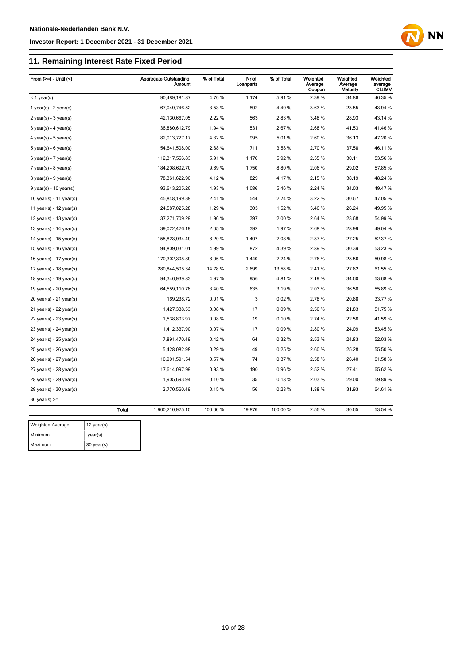Maximum 30 year(s)

#### **Investor Report: 1 December 2021 - 31 December 2021**

# **11. Remaining Interest Rate Fixed Period**



| From $(>=)$ - Until $($       |              | <b>Aggregate Outstanding</b><br><b>Amount</b> | % of Total | Nr of<br>Loanparts | % of Total | Weighted<br>Average<br>Coupon | Weighted<br>Average<br>Maturity | Weighted<br>average<br><b>CLtIMV</b> |
|-------------------------------|--------------|-----------------------------------------------|------------|--------------------|------------|-------------------------------|---------------------------------|--------------------------------------|
| $<$ 1 year(s)                 |              | 90,489,181.87                                 | 4.76%      | 1,174              | 5.91%      | 2.39 %                        | 34.86                           | 46.35 %                              |
| 1 year(s) - $2$ year(s)       |              | 67,049,746.52                                 | 3.53 %     | 892                | 4.49%      | 3.63%                         | 23.55                           | 43.94 %                              |
| $2$ year(s) - $3$ year(s)     |              | 42,130,667.05                                 | 2.22 %     | 563                | 2.83%      | 3.48%                         | 28.93                           | 43.14 %                              |
| $3 \text{ years}$ - 4 year(s) |              | 36,880,612.79                                 | 1.94 %     | 531                | 2.67 %     | 2.68%                         | 41.53                           | 41.46%                               |
| 4 year(s) - 5 year(s)         |              | 82,013,727.17                                 | 4.32%      | 995                | 5.01%      | 2.60%                         | 36.13                           | 47.20%                               |
| $5$ year(s) - $6$ year(s)     |              | 54,641,508.00                                 | 2.88%      | 711                | 3.58 %     | 2.70%                         | 37.58                           | 46.11%                               |
| $6$ year(s) - 7 year(s)       |              | 112,317,556.83                                | 5.91%      | 1,176              | 5.92 %     | 2.35 %                        | 30.11                           | 53.56 %                              |
| $7$ year(s) - 8 year(s)       |              | 184,208,692.70                                | 9.69%      | 1,750              | 8.80%      | 2.06%                         | 29.02                           | 57.85 %                              |
| 8 year(s) - 9 year(s)         |              | 78,361,622.90                                 | 4.12%      | 829                | 4.17%      | 2.15 %                        | 38.19                           | 48.24 %                              |
| $9$ year(s) - 10 year(s)      |              | 93,643,205.26                                 | 4.93%      | 1,086              | 5.46%      | 2.24 %                        | 34.03                           | 49.47%                               |
| 10 year(s) - 11 year(s)       |              | 45,848,199.38                                 | 2.41%      | 544                | 2.74 %     | 3.22%                         | 30.67                           | 47.05 %                              |
| 11 year(s) - $12$ year(s)     |              | 24,587,025.28                                 | 1.29%      | 303                | 1.52 %     | 3.46 %                        | 26.24                           | 49.95 %                              |
| 12 year(s) - 13 year(s)       |              | 37,271,709.29                                 | 1.96%      | 397                | 2.00 %     | 2.64 %                        | 23.68                           | 54.99 %                              |
| 13 year(s) - $14$ year(s)     |              | 39,022,476.19                                 | 2.05%      | 392                | 1.97%      | 2.68%                         | 28.99                           | 49.04 %                              |
| 14 year(s) - $15$ year(s)     |              | 155,823,934.49                                | 8.20%      | 1,407              | 7.08%      | 2.87%                         | 27.25                           | 52.37 %                              |
| 15 year(s) - 16 year(s)       |              | 94,809,031.01                                 | 4.99%      | 872                | 4.39%      | 2.89%                         | 30.39                           | 53.23 %                              |
| 16 year(s) - 17 year(s)       |              | 170,302,305.89                                | 8.96%      | 1,440              | 7.24 %     | 2.76%                         | 28.56                           | 59.98 %                              |
| 17 year(s) - 18 year(s)       |              | 280,844,505.34                                | 14.78 %    | 2,699              | 13.58 %    | 2.41%                         | 27.82                           | 61.55 %                              |
| 18 year(s) - 19 year(s)       |              | 94,346,939.83                                 | 4.97%      | 956                | 4.81%      | 2.19%                         | 34.60                           | 53.68 %                              |
| 19 year(s) - 20 year(s)       |              | 64,559,110.76                                 | 3.40%      | 635                | 3.19%      | 2.03%                         | 36.50                           | 55.89 %                              |
| $20$ year(s) - $21$ year(s)   |              | 169,238.72                                    | 0.01%      | 3                  | 0.02%      | 2.78%                         | 20.88                           | 33.77 %                              |
| $21$ year(s) - 22 year(s)     |              | 1,427,338.53                                  | 0.08%      | 17                 | 0.09%      | 2.50 %                        | 21.83                           | 51.75 %                              |
| $22$ year(s) - $23$ year(s)   |              | 1,538,803.97                                  | 0.08%      | 19                 | 0.10%      | 2.74 %                        | 22.56                           | 41.59 %                              |
| 23 year(s) - 24 year(s)       |              | 1,412,337.90                                  | 0.07%      | 17                 | 0.09%      | 2.80%                         | 24.09                           | 53.45 %                              |
| 24 year(s) - 25 year(s)       |              | 7,891,470.49                                  | 0.42%      | 64                 | 0.32%      | 2.53%                         | 24.83                           | 52.03%                               |
| $25$ year(s) - $26$ year(s)   |              | 5,428,082.98                                  | 0.29%      | 49                 | 0.25%      | 2.60%                         | 25.28                           | 55.50 %                              |
| 26 year(s) - 27 year(s)       |              | 10,901,591.54                                 | 0.57%      | 74                 | 0.37%      | 2.58%                         | 26.40                           | 61.58 %                              |
| 27 year(s) - 28 year(s)       |              | 17,614,097.99                                 | 0.93%      | 190                | 0.96%      | 2.52 %                        | 27.41                           | 65.62%                               |
| $28$ year(s) - $29$ year(s)   |              | 1,905,693.94                                  | 0.10%      | 35                 | 0.18%      | 2.03%                         | 29.00                           | 59.89 %                              |
| 29 year(s) - 30 year(s)       |              | 2,770,560.49                                  | 0.15%      | 56                 | 0.28%      | 1.88%                         | 31.93                           | 64.61%                               |
| $30$ year(s) >=               |              |                                               |            |                    |            |                               |                                 |                                      |
|                               | <b>Total</b> | 1,900,210,975.10                              | 100.00 %   | 19,876             | 100.00 %   | 2.56 %                        | 30.65                           | 53.54 %                              |
| <b>Weighted Average</b>       | 12 year(s)   |                                               |            |                    |            |                               |                                 |                                      |
| Minimum                       | year(s)      |                                               |            |                    |            |                               |                                 |                                      |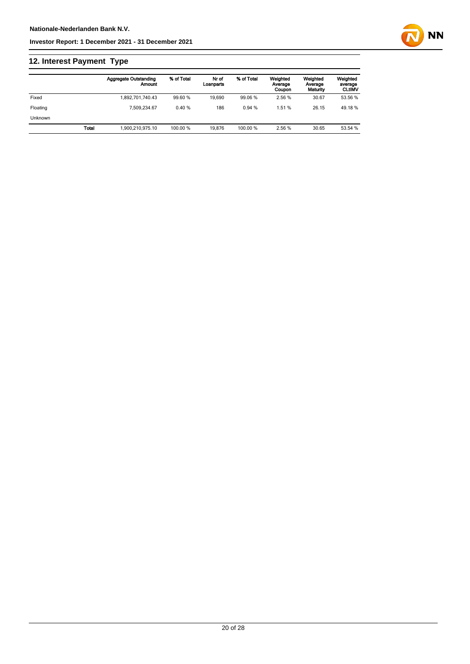# **12. Interest Payment Type**

|                |              | <b>Aggregate Outstanding</b><br>Amount | % of Total | Nr of<br>Loanparts | % of Total | Weighted<br>Average<br>Coupon | Weighted<br>Average<br>Maturity | Weighted<br>average<br><b>CLtIMV</b> |
|----------------|--------------|----------------------------------------|------------|--------------------|------------|-------------------------------|---------------------------------|--------------------------------------|
| Fixed          |              | 1.892.701.740.43                       | 99.60 %    | 19.690             | 99.06 %    | 2.56 %                        | 30.67                           | 53.56 %                              |
| Floating       |              | 7.509.234.67                           | 0.40%      | 186                | 0.94%      | 1.51 %                        | 26.15                           | 49.18%                               |
| <b>Unknown</b> |              |                                        |            |                    |            |                               |                                 |                                      |
|                | <b>Total</b> | 1.900.210.975.10                       | 100.00 %   | 19.876             | 100.00 %   | 2.56 %                        | 30.65                           | 53.54 %                              |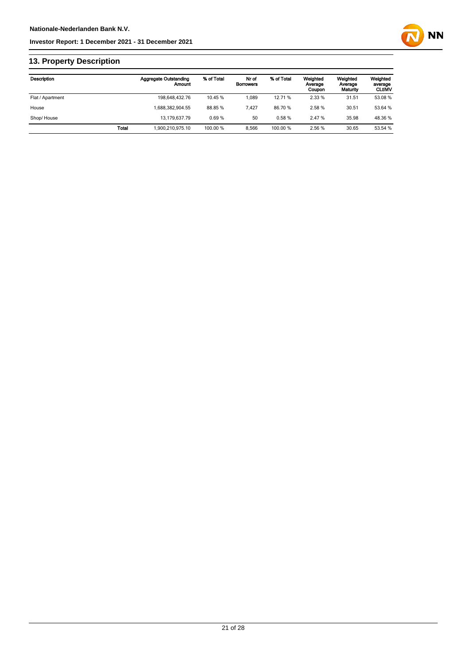

# **13. Property Description**

| <b>Description</b> |              | <b>Aggregate Outstanding</b><br>Amount | % of Total | Nr of<br><b>Borrowers</b> | % of Total | Weighted<br>Average<br>Coupon | Weighted<br>Average<br>Maturity | Weighted<br>average<br><b>CLtIMV</b> |
|--------------------|--------------|----------------------------------------|------------|---------------------------|------------|-------------------------------|---------------------------------|--------------------------------------|
| Flat / Apartment   |              | 198,648,432.76                         | 10.45 %    | 1.089                     | 12.71 %    | 2.33 %                        | 31.51                           | 53.08 %                              |
| House              |              | 1.688.382.904.55                       | 88.85 %    | 7.427                     | 86.70%     | 2.58 %                        | 30.51                           | 53.64 %                              |
| Shop/House         |              | 13.179.637.79                          | 0.69%      | 50                        | 0.58%      | 2.47 %                        | 35.98                           | 48.36 %                              |
|                    | <b>Total</b> | 1.900.210.975.10                       | 100.00 %   | 8.566                     | 100.00%    | 2.56 %                        | 30.65                           | 53.54 %                              |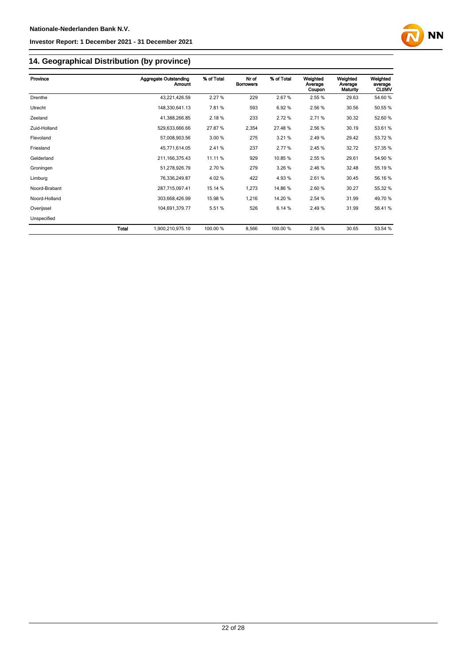

### **14. Geographical Distribution (by province)**

| Province      |       | <b>Aggregate Outstanding</b><br>Amount | % of Total | Nr of<br><b>Borrowers</b> | % of Total | Weighted<br>Average<br>Coupon | Weighted<br>Average<br>Maturity | Weighted<br>average<br><b>CLtIMV</b> |
|---------------|-------|----------------------------------------|------------|---------------------------|------------|-------------------------------|---------------------------------|--------------------------------------|
| Drenthe       |       | 43,221,426.59                          | 2.27 %     | 229                       | 2.67%      | 2.55 %                        | 29.63                           | 54.60%                               |
| Utrecht       |       | 148,330,641.13                         | 7.81%      | 593                       | 6.92%      | 2.56 %                        | 30.56                           | 50.55 %                              |
| Zeeland       |       | 41,388,266.85                          | 2.18%      | 233                       | 2.72%      | 2.71%                         | 30.32                           | 52.60 %                              |
| Zuid-Holland  |       | 529,633,666.66                         | 27.87 %    | 2,354                     | 27.48%     | 2.56 %                        | 30.19                           | 53.61 %                              |
| Flevoland     |       | 57,008,903.56                          | 3.00 %     | 275                       | 3.21%      | 2.49%                         | 29.42                           | 53.72 %                              |
| Friesland     |       | 45,771,614.05                          | 2.41 %     | 237                       | 2.77%      | 2.45 %                        | 32.72                           | 57.35 %                              |
| Gelderland    |       | 211, 166, 375.43                       | 11.11 %    | 929                       | 10.85%     | 2.55 %                        | 29.61                           | 54.90 %                              |
| Groningen     |       | 51,278,926.79                          | 2.70 %     | 279                       | 3.26 %     | 2.46 %                        | 32.48                           | 55.19 %                              |
| Limburg       |       | 76,336,249.87                          | 4.02%      | 422                       | 4.93%      | 2.61%                         | 30.45                           | 56.16%                               |
| Noord-Brabant |       | 287,715,097.41                         | 15.14 %    | 1,273                     | 14.86%     | 2.60%                         | 30.27                           | 55.32 %                              |
| Noord-Holland |       | 303,668,426.99                         | 15.98 %    | 1,216                     | 14.20%     | 2.54 %                        | 31.99                           | 49.70 %                              |
| Overijssel    |       | 104,691,379.77                         | 5.51%      | 526                       | 6.14 %     | 2.49%                         | 31.99                           | 56.41%                               |
| Unspecified   |       |                                        |            |                           |            |                               |                                 |                                      |
|               | Total | 1,900,210,975.10                       | 100.00 %   | 8,566                     | 100.00 %   | 2.56 %                        | 30.65                           | 53.54 %                              |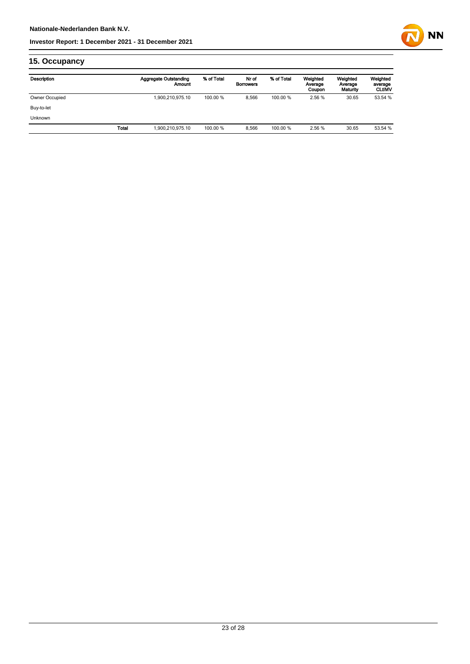

# **15. Occupancy**

| Description    |              | <b>Aggregate Outstanding</b><br>Amount | % of Total | Nr of<br><b>Borrowers</b> | % of Total | Weighted<br>Average<br>Coupon | Weighted<br>Average<br>Maturity | Weighted<br>average<br><b>CLtIMV</b> |
|----------------|--------------|----------------------------------------|------------|---------------------------|------------|-------------------------------|---------------------------------|--------------------------------------|
| Owner Occupied |              | 1,900,210,975.10                       | 100.00 %   | 8.566                     | 100.00 %   | 2.56 %                        | 30.65                           | 53.54 %                              |
| Buy-to-let     |              |                                        |            |                           |            |                               |                                 |                                      |
| <b>Unknown</b> |              |                                        |            |                           |            |                               |                                 |                                      |
|                | <b>Total</b> | 1,900,210,975.10                       | 100.00 %   | 8.566                     | 100.00 %   | 2.56 %                        | 30.65                           | 53.54 %                              |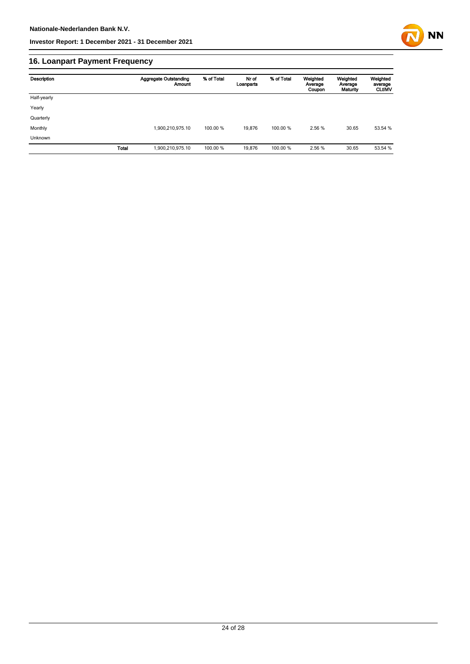

# **16. Loanpart Payment Frequency**

| Description | <b>Aggregate Outstanding</b> | % of Total<br><b>Amount</b> | Nr of<br>Loanparts | % of Total | Weighted<br>Average<br>Coupon | Weighted<br>Average<br>Maturity | Weighted<br>average<br><b>CLtIMV</b> |
|-------------|------------------------------|-----------------------------|--------------------|------------|-------------------------------|---------------------------------|--------------------------------------|
| Half-yearly |                              |                             |                    |            |                               |                                 |                                      |
| Yearly      |                              |                             |                    |            |                               |                                 |                                      |
| Quarterly   |                              |                             |                    |            |                               |                                 |                                      |
| Monthly     | 1,900,210,975.10             |                             | 19.876<br>100.00 % | 100.00 %   | 2.56 %                        | 30.65                           | 53.54 %                              |
| Unknown     |                              |                             |                    |            |                               |                                 |                                      |
|             | Total<br>1,900,210,975.10    |                             | 100.00 %<br>19,876 | 100.00 %   | 2.56 %                        | 30.65                           | 53.54 %                              |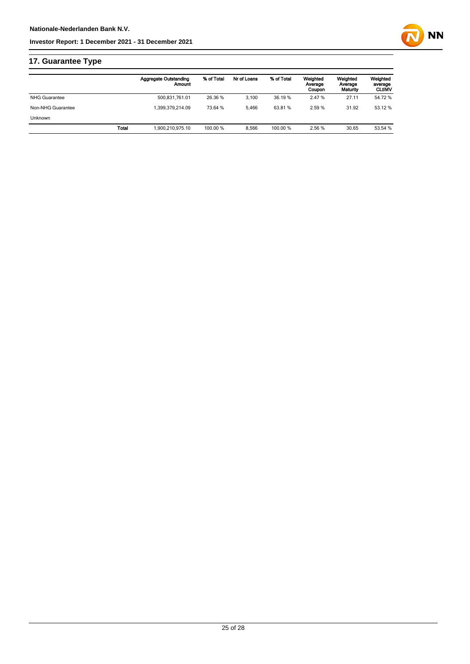# **17. Guarantee Type**

|       | <b>Aggregate Outstanding</b><br>Amount | % of Total | Nr of Loans | % of Total | Weighted<br>Average<br>Coupon | Weighted<br>Average<br>Maturity | Weighted<br>average<br><b>CLUMV</b> |
|-------|----------------------------------------|------------|-------------|------------|-------------------------------|---------------------------------|-------------------------------------|
|       | 500,831,761.01                         | 26.36 %    | 3.100       | 36.19%     | 2.47 %                        | 27.11                           | 54.72 %                             |
|       | 1.399.379.214.09                       | 73.64 %    | 5.466       | 63.81%     | 2.59%                         | 31.92                           | 53.12 %                             |
|       |                                        |            |             |            |                               |                                 |                                     |
| Total | 1.900.210.975.10                       | 100.00 %   | 8.566       | 100.00 %   | 2.56 %                        | 30.65                           | 53.54 %                             |
|       |                                        |            |             |            |                               |                                 |                                     |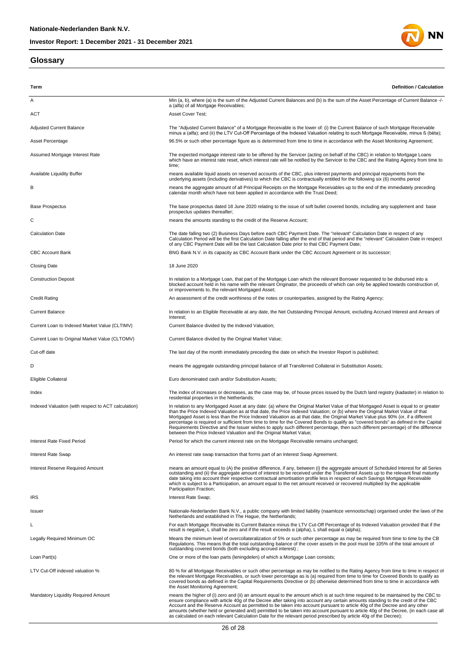#### **Glossary**



| Term                                                | <b>Definition / Calculation</b>                                                                                                                                                                                                                                                                                                                                                                                                                                                                                                                                                                                                                                                                                                                             |
|-----------------------------------------------------|-------------------------------------------------------------------------------------------------------------------------------------------------------------------------------------------------------------------------------------------------------------------------------------------------------------------------------------------------------------------------------------------------------------------------------------------------------------------------------------------------------------------------------------------------------------------------------------------------------------------------------------------------------------------------------------------------------------------------------------------------------------|
| Α                                                   | Min (a, b), where (a) is the sum of the Adjusted Current Balances and (b) is the sum of the Asset Percentage of Current Balance -/-<br>a (alfa) of all Mortgage Receivables;                                                                                                                                                                                                                                                                                                                                                                                                                                                                                                                                                                                |
| ACT                                                 | <b>Asset Cover Test:</b>                                                                                                                                                                                                                                                                                                                                                                                                                                                                                                                                                                                                                                                                                                                                    |
| <b>Adjusted Current Balance</b>                     | The "Adjusted Current Balance" of a Mortgage Receivable is the lower of: (i) the Current Balance of such Mortgage Receivable<br>minus a (alfa); and (ii) the LTV Cut-Off Percentage of the Indexed Valuation relating to such Mortgage Receivable, minus ß (bèta);                                                                                                                                                                                                                                                                                                                                                                                                                                                                                          |
| Asset Percentage                                    | 96.5% or such other percentage figure as is determined from time to time in accordance with the Asset Monitoring Agreement;                                                                                                                                                                                                                                                                                                                                                                                                                                                                                                                                                                                                                                 |
| Assumed Mortgage Interest Rate                      | The expected mortgage interest rate to be offered by the Servicer (acting on behalf of the CBC) in relation to Mortgage Loans<br>which have an interest rate reset, which interest rate will be notified by the Servicer to the CBC and the Rating Agency from time to<br>time;                                                                                                                                                                                                                                                                                                                                                                                                                                                                             |
| Available Liquidity Buffer                          | means available liquid assets on reserved accounts of the CBC, plus interest payments and principal repayments from the<br>underlying assets (including derivatives) to which the CBC is contractually entitled for the following six (6) months period                                                                                                                                                                                                                                                                                                                                                                                                                                                                                                     |
| В                                                   | means the aggregate amount of all Principal Receipts on the Mortgage Receivables up to the end of the immediately preceding<br>calendar month which have not been applied in accordance with the Trust Deed;                                                                                                                                                                                                                                                                                                                                                                                                                                                                                                                                                |
| <b>Base Prospectus</b>                              | The base prospectus dated 18 June 2020 relating to the issue of soft bullet covered bonds, including any supplement and base<br>prospectus updates thereafter;                                                                                                                                                                                                                                                                                                                                                                                                                                                                                                                                                                                              |
| С                                                   | means the amounts standing to the credit of the Reserve Account;                                                                                                                                                                                                                                                                                                                                                                                                                                                                                                                                                                                                                                                                                            |
| <b>Calculation Date</b>                             | The date falling two (2) Business Days before each CBC Payment Date. The "relevant" Calculation Date in respect of any<br>Calculation Period will be the first Calculation Date falling after the end of that period and the "relevant" Calculation Date in respect<br>of any CBC Payment Date will be the last Calculation Date prior to that CBC Payment Date;                                                                                                                                                                                                                                                                                                                                                                                            |
| <b>CBC Account Bank</b>                             | BNG Bank N.V. in its capacity as CBC Account Bank under the CBC Account Agreement or its successor;                                                                                                                                                                                                                                                                                                                                                                                                                                                                                                                                                                                                                                                         |
| <b>Closing Date</b>                                 | 18 June 2020                                                                                                                                                                                                                                                                                                                                                                                                                                                                                                                                                                                                                                                                                                                                                |
| <b>Construction Deposit</b>                         | In relation to a Mortgage Loan, that part of the Mortgage Loan which the relevant Borrower requested to be disbursed into a<br>blocked account held in his name with the relevant Originator, the proceeds of which can only be applied towards construction of,<br>or improvements to, the relevant Mortgaged Asset;                                                                                                                                                                                                                                                                                                                                                                                                                                       |
| <b>Credit Rating</b>                                | An assessment of the credit worthiness of the notes or counterparties, assigned by the Rating Agency;                                                                                                                                                                                                                                                                                                                                                                                                                                                                                                                                                                                                                                                       |
| <b>Current Balance</b>                              | In relation to an Eligible Receivable at any date, the Net Outstanding Principal Amount, excluding Accrued Interest and Arrears of<br>Interest;                                                                                                                                                                                                                                                                                                                                                                                                                                                                                                                                                                                                             |
| Current Loan to Indexed Market Value (CLTIMV)       | Current Balance divided by the Indexed Valuation;                                                                                                                                                                                                                                                                                                                                                                                                                                                                                                                                                                                                                                                                                                           |
| Current Loan to Original Market Value (CLTOMV)      | Current Balance divided by the Original Market Value;                                                                                                                                                                                                                                                                                                                                                                                                                                                                                                                                                                                                                                                                                                       |
| Cut-off date                                        | The last day of the month immediately preceding the date on which the Investor Report is published;                                                                                                                                                                                                                                                                                                                                                                                                                                                                                                                                                                                                                                                         |
| D                                                   | means the aggregate outstanding principal balance of all Transferred Collateral in Substitution Assets;                                                                                                                                                                                                                                                                                                                                                                                                                                                                                                                                                                                                                                                     |
| Eligible Collateral                                 | Euro denominated cash and/or Substitution Assets:                                                                                                                                                                                                                                                                                                                                                                                                                                                                                                                                                                                                                                                                                                           |
| Index                                               | The index of increases or decreases, as the case may be, of house prices issued by the Dutch land registry (kadaster) in relation to<br>residential properties in the Netherlands;                                                                                                                                                                                                                                                                                                                                                                                                                                                                                                                                                                          |
| Indexed Valuation (with respect to ACT calculation) | In relation to any Mortgaged Asset at any date: (a) where the Original Market Value of that Mortgaged Asset is equal to or greater<br>than the Price Indexed Valuation as at that date, the Price Indexed Valuation; or (b) where the Original Market Value of that<br>Mortgaged Asset is less than the Price Indexed Valuation as at that date, the Original Market Value plus 90% (or, if a different<br>percentage is required or sufficient from time to time for the Covered Bonds to qualify as "covered bonds" as defined in the Capital<br>Requirements Directive and the Issuer wishes to apply such different percentage, then such different percentage) of the difference<br>between the Price Indexed Valuation and the Original Market Value; |
| <b>Interest Rate Fixed Period</b>                   | Period for which the current interest rate on the Mortgage Receivable remains unchanged;                                                                                                                                                                                                                                                                                                                                                                                                                                                                                                                                                                                                                                                                    |
| Interest Rate Swap                                  | An interest rate swap transaction that forms part of an Interest Swap Agreement.                                                                                                                                                                                                                                                                                                                                                                                                                                                                                                                                                                                                                                                                            |
| Interest Reserve Required Amount                    | means an amount equal to (A) the positive difference, if any, between (i) the aggregate amount of Scheduled Interest for all Series<br>outstanding and (ii) the aggregate amount of interest to be received under the Transferred Assets up to the relevant final maturity<br>date taking into account their respective contractual amortisation profile less in respect of each Savings Mortgage Receivable<br>which is subject to a Participation, an amount equal to the net amount received or recovered multiplied by the applicable<br>Participation Fraction;                                                                                                                                                                                        |
| <b>IRS</b>                                          | Interest Rate Swap;                                                                                                                                                                                                                                                                                                                                                                                                                                                                                                                                                                                                                                                                                                                                         |
| Issuer                                              | Nationale-Nederlanden Bank N.V., a public company with limited liability (naamloze vennootschap) organised under the laws of the<br>Netherlands and established in The Haque, the Netherlands;                                                                                                                                                                                                                                                                                                                                                                                                                                                                                                                                                              |
|                                                     | For each Mortgage Receivable its Current Balance minus the LTV Cut-Off Percentage of its Indexed Valuation provided that if the<br>result is negative, L shall be zero and if the result exceeds $\alpha$ (alpha), L shall equal $\alpha$ (alpha);                                                                                                                                                                                                                                                                                                                                                                                                                                                                                                          |
| Legally Required Minimum OC                         | Means the minimum level of overcollateralization of 5% or such other percentage as may be required from time to time by the CB<br>Regulations. This means that the total outstanding balance of the cover assets in the pool must be 105% of the total amount of<br>outstanding covered bonds (both excluding accrued interest);                                                                                                                                                                                                                                                                                                                                                                                                                            |
| Loan Part(s)                                        | One or more of the loan parts (leningdelen) of which a Mortgage Loan consists;                                                                                                                                                                                                                                                                                                                                                                                                                                                                                                                                                                                                                                                                              |
| LTV Cut-Off indexed valuation %                     | 80 % for all Mortgage Receivables or such other percentage as may be notified to the Rating Agency from time to time in respect of<br>the relevant Mortgage Receivables, or such lower percentage as is (a) required from time to time for Covered Bonds to qualify as<br>covered bonds as defined in the Capital Requirements Directive or (b) otherwise determined from time to time in accordance with<br>the Asset Monitoring Agreement;                                                                                                                                                                                                                                                                                                                |
| Mandatory Liquidity Required Amount                 | means the higher of (i) zero and (ii) an amount equal to the amount which is at such time required to be maintained by the CBC to<br>ensure compliance with article 40g of the Decree after taking into account any certain amounts standing to the credit of the CBC<br>Account and the Reserve Account as permitted to be taken into account pursuant to article 40g of the Decree and any other<br>amounts (whether held or generated and) permitted to be taken into account pursuant to article 40g of the Decree, (in each case all<br>as calculated on each relevant Calculation Date for the relevant period prescribed by article 40g of the Decree);                                                                                              |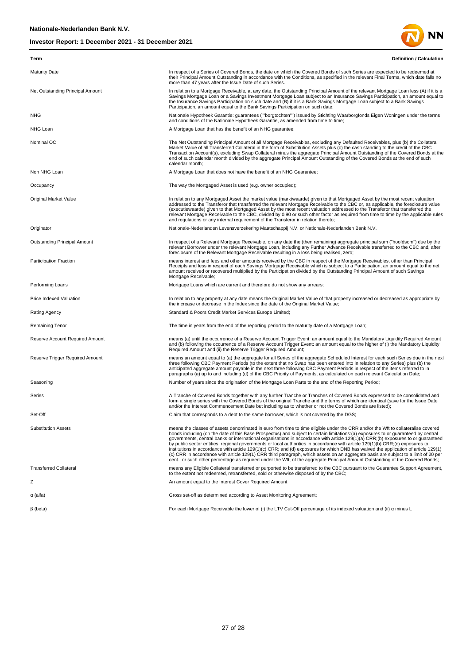

| Term                             | <b>Definition / Calculation</b>                                                                                                                                                                                                                                                                                                                                                                                                                                                                                                                                                                                                                                                                                                                                                                                                                                                                                                                              |
|----------------------------------|--------------------------------------------------------------------------------------------------------------------------------------------------------------------------------------------------------------------------------------------------------------------------------------------------------------------------------------------------------------------------------------------------------------------------------------------------------------------------------------------------------------------------------------------------------------------------------------------------------------------------------------------------------------------------------------------------------------------------------------------------------------------------------------------------------------------------------------------------------------------------------------------------------------------------------------------------------------|
| <b>Maturity Date</b>             | In respect of a Series of Covered Bonds, the date on which the Covered Bonds of such Series are expected to be redeemed at<br>their Principal Amount Outstanding in accordance with the Conditions, as specified in the relevant Final Terms, which date falls no<br>more than 47 years after the Issue Date of such Series.                                                                                                                                                                                                                                                                                                                                                                                                                                                                                                                                                                                                                                 |
| Net Outstanding Principal Amount | In relation to a Mortgage Receivable, at any date, the Outstanding Principal Amount of the relevant Mortgage Loan less (A) if it is a<br>Savings Mortgage Loan or a Savings Investment Mortgage Loan subject to an Insurance Savings Participation, an amount equal to<br>the Insurance Savings Participation on such date and (B) if it is a Bank Savings Mortgage Loan subject to a Bank Savings<br>Participation, an amount equal to the Bank Savings Participation on such date;                                                                                                                                                                                                                                                                                                                                                                                                                                                                         |
| <b>NHG</b>                       | Nationale Hypotheek Garantie: guarantees (""borgtochten"") issued by Stichting Waarborgfonds Eigen Woningen under the terms<br>and conditions of the Nationale Hypotheek Garantie, as amended from time to time;                                                                                                                                                                                                                                                                                                                                                                                                                                                                                                                                                                                                                                                                                                                                             |
| NHG Loan                         | A Mortgage Loan that has the benefit of an NHG guarantee;                                                                                                                                                                                                                                                                                                                                                                                                                                                                                                                                                                                                                                                                                                                                                                                                                                                                                                    |
| Nominal OC                       | The Net Outstanding Principal Amount of all Mortgage Receivables, excluding any Defaulted Receivables, plus (b) the Collateral<br>Market Value of all Transferred Collateral in the form of Substitution Assets plus (c) the cash standing to the credit of the CBC<br>Transaction Account(s), excluding Swap Collateral minus the aggregate Principal Amount Outstanding of the Covered Bonds at the<br>end of such calendar month divided by the aggregate Principal Amount Outstanding of the Covered Bonds at the end of such<br>calendar month:                                                                                                                                                                                                                                                                                                                                                                                                         |
| Non NHG Loan                     | A Mortgage Loan that does not have the benefit of an NHG Guarantee;                                                                                                                                                                                                                                                                                                                                                                                                                                                                                                                                                                                                                                                                                                                                                                                                                                                                                          |
| Occupancy                        | The way the Mortgaged Asset is used (e.g. owner occupied);                                                                                                                                                                                                                                                                                                                                                                                                                                                                                                                                                                                                                                                                                                                                                                                                                                                                                                   |
| Original Market Value            | In relation to any Mortgaged Asset the market value (marktwaarde) given to that Mortgaged Asset by the most recent valuation<br>addressed to the Transferor that transferred the relevant Mortgage Receivable to the CBC or, as applicable, the foreclosure value<br>(executiewaarde) given to that Mortgaged Asset by the most recent valuation addressed to the Transferor that transferred the<br>relevant Mortgage Receivable to the CBC, divided by 0.90 or such other factor as required from time to time by the applicable rules<br>and regulations or any internal requirement of the Transferor in relation thereto;                                                                                                                                                                                                                                                                                                                               |
| Originator                       | Nationale-Nederlanden Levensverzekering Maatschappij N.V. or Nationale-Nederlanden Bank N.V.                                                                                                                                                                                                                                                                                                                                                                                                                                                                                                                                                                                                                                                                                                                                                                                                                                                                 |
| Outstanding Principal Amount     | In respect of a Relevant Mortgage Receivable, on any date the (then remaining) aggregate principal sum ("hoofdsom") due by the<br>relevant Borrower under the relevant Mortgage Loan, including any Further Advance Receivable transferred to the CBC and, after<br>foreclosure of the Relevant Mortgage Receivable resulting in a loss being realised, zero;                                                                                                                                                                                                                                                                                                                                                                                                                                                                                                                                                                                                |
| Participation Fraction           | means interest and fees and other amounts received by the CBC in respect of the Mortgage Receivables, other than Principal<br>Receipts and less in respect of each Savings Mortgage Receivable which is subject to a Participation, an amount equal to the net<br>amount received or recovered multiplied by the Participation divided by the Outstanding Principal Amount of such Savings<br>Mortgage Receivable;                                                                                                                                                                                                                                                                                                                                                                                                                                                                                                                                           |
| Performing Loans                 | Mortgage Loans which are current and therefore do not show any arrears;                                                                                                                                                                                                                                                                                                                                                                                                                                                                                                                                                                                                                                                                                                                                                                                                                                                                                      |
| Price Indexed Valuation          | In relation to any property at any date means the Original Market Value of that property increased or decreased as appropriate by<br>the increase or decrease in the Index since the date of the Original Market Value;                                                                                                                                                                                                                                                                                                                                                                                                                                                                                                                                                                                                                                                                                                                                      |
| Rating Agency                    | Standard & Poors Credit Market Services Europe Limited;                                                                                                                                                                                                                                                                                                                                                                                                                                                                                                                                                                                                                                                                                                                                                                                                                                                                                                      |
| Remaining Tenor                  | The time in years from the end of the reporting period to the maturity date of a Mortgage Loan;                                                                                                                                                                                                                                                                                                                                                                                                                                                                                                                                                                                                                                                                                                                                                                                                                                                              |
| Reserve Account Required Amount  | means (a) until the occurrence of a Reserve Account Trigger Event: an amount equal to the Mandatory Liquidity Required Amount<br>and (b) following the occurrence of a Reserve Account Trigger Event: an amount equal to the higher of (i) the Mandatory Liquidity<br>Required Amount and (ii) the Reserve Trigger Required Amount;                                                                                                                                                                                                                                                                                                                                                                                                                                                                                                                                                                                                                          |
| Reserve Trigger Required Amount  | means an amount equal to (a) the aggregate for all Series of the aggregate Scheduled Interest for each such Series due in the next<br>three following CBC Payment Periods (to the extent that no Swap has been entered into in relation to any Series) plus (b) the<br>anticipated aggregate amount payable in the next three following CBC Payment Periods in respect of the items referred to in<br>paragraphs (a) up to and including (d) of the CBC Priority of Payments, as calculated on each relevant Calculation Date;                                                                                                                                                                                                                                                                                                                                                                                                                               |
| Seasoning                        | Number of years since the origination of the Mortgage Loan Parts to the end of the Reporting Period;                                                                                                                                                                                                                                                                                                                                                                                                                                                                                                                                                                                                                                                                                                                                                                                                                                                         |
| Series                           | A Tranche of Covered Bonds together with any further Tranche or Tranches of Covered Bonds expressed to be consolidated and<br>form a single series with the Covered Bonds of the original Tranche and the terms of which are identical (save for the Issue Date<br>and/or the Interest Commencement Date but including as to whether or not the Covered Bonds are listed);                                                                                                                                                                                                                                                                                                                                                                                                                                                                                                                                                                                   |
| Set-Off                          | Claim that corresponds to a debt to the same borrower, which is not covered by the DGS;                                                                                                                                                                                                                                                                                                                                                                                                                                                                                                                                                                                                                                                                                                                                                                                                                                                                      |
| <b>Substitution Assets</b>       | means the classes of assets denominated in euro from time to time eligible under the CRR and/or the Wft to collateralise covered<br>bonds including (on the date of this Base Prospectus) and subject to certain limitations:(a) exposures to or guaranteed by central<br>governments, central banks or international organisations in accordance with article 129(1)(a) CRR;(b) exposures to or guaranteed<br>by public sector entities, regional governments or local authorities in accordance with article 129(1)(b) CRR;(c) exposures to<br>institutions in accordance with article 129(1)(c) CRR; and (d) exposures for which DNB has waived the application of article 129(1)<br>(c) CRR in accordance with article 129(1) CRR third paragraph, which assets on an aggregate basis are subject to a limit of 20 per<br>cent., or such other percentage as required under the Wft, of the aggregate Principal Amount Outstanding of the Covered Bonds; |
| <b>Transferred Collateral</b>    | means any Eligible Collateral transferred or purported to be transferred to the CBC pursuant to the Guarantee Support Agreement,<br>to the extent not redeemed, retransferred, sold or otherwise disposed of by the CBC:                                                                                                                                                                                                                                                                                                                                                                                                                                                                                                                                                                                                                                                                                                                                     |
| z                                | An amount equal to the Interest Cover Required Amount                                                                                                                                                                                                                                                                                                                                                                                                                                                                                                                                                                                                                                                                                                                                                                                                                                                                                                        |
| $\alpha$ (alfa)                  | Gross set-off as determined according to Asset Monitoring Agreement;                                                                                                                                                                                                                                                                                                                                                                                                                                                                                                                                                                                                                                                                                                                                                                                                                                                                                         |
| $\beta$ (beta)                   | For each Mortgage Receivable the lower of (i) the LTV Cut-Off percentage of its indexed valuation and (ii) a minus L                                                                                                                                                                                                                                                                                                                                                                                                                                                                                                                                                                                                                                                                                                                                                                                                                                         |